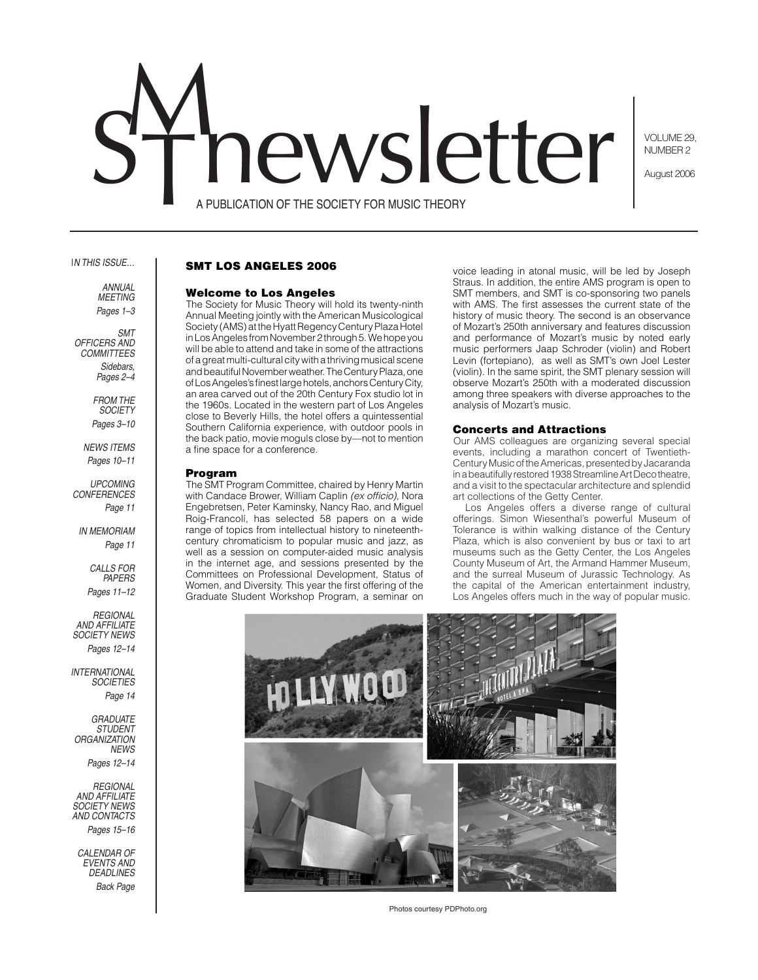# hewsletter

VOLUME 29, NUMBER 2

August 2006

A PUBLICATION OF THE SOCIETY FOR MUSIC THEORY

#### I*n this issue…*

*annual meeting Pages 1–3*

*SMT Officers and COMMITTEES Sidebars, Pages 2–4*

> *From the Society Pages 3–10*

*News Items Pages 10–11*

*Upcoming Conferences Page 11*

*IN MEMORIAM Page 11*

> *Calls for Papers Pages 11–12*

*Regional and Affiliate society News Pages 12–14*

*international Societies Page 14*

*GRADUATE STUDENT ORGANIZATION News Pages 12–14*

*Regional and Affiliate society News and contacts Pages 15–16*

*Calendar of events and deadlines Back Page* 

# SMT Los Angeles 2006

## Welcome to Los Angeles

The Society for Music Theory will hold its twenty-ninth Annual Meeting jointly with the American Musicological Society (AMS) at the Hyatt Regency Century Plaza Hotel in Los Angeles from November 2 through 5. We hope you will be able to attend and take in some of the attractions of a great multi-cultural city with a thriving musical scene and beautiful November weather. The Century Plaza, one of Los Angeles's finest large hotels, anchors Century City, an area carved out of the 20th Century Fox studio lot in the 1960s. Located in the western part of Los Angeles close to Beverly Hills, the hotel offers a quintessential Southern California experience, with outdoor pools in the back patio, movie moguls close by—not to mention a fine space for a conference.

#### Program

The SMT Program Committee, chaired by Henry Martin with Candace Brower, William Caplin *(ex officio),* Nora Engebretsen, Peter Kaminsky, Nancy Rao, and Miguel Roig-Francolí, has selected 58 papers on a wide range of topics from intellectual history to nineteenthcentury chromaticism to popular music and jazz, as well as a session on computer-aided music analysis in the internet age, and sessions presented by the Committees on Professional Development, Status of Women, and Diversity. This year the first offering of the Graduate Student Workshop Program, a seminar on

voice leading in atonal music, will be led by Joseph Straus. In addition, the entire AMS program is open to SMT members, and SMT is co-sponsoring two panels with AMS. The first assesses the current state of the history of music theory. The second is an observance of Mozart's 250th anniversary and features discussion and performance of Mozart's music by noted early music performers Jaap Schroder (violin) and Robert Levin (fortepiano), as well as SMT's own Joel Lester (violin). In the same spirit, the SMT plenary session will observe Mozart's 250th with a moderated discussion among three speakers with diverse approaches to the analysis of Mozart's music.

## Concerts and Attractions

Our AMS colleagues are organizing several special events, including a marathon concert of Twentieth-Century Music of the Americas, presented by Jacaranda in a beautifully restored 1938 Streamline Art Deco theatre, and a visit to the spectacular architecture and splendid art collections of the Getty Center.

Los Angeles offers a diverse range of cultural offerings. Simon Wiesenthal's powerful Museum of Tolerance is within walking distance of the Century Plaza, which is also convenient by bus or taxi to art museums such as the Getty Center, the Los Angeles County Museum of Art, the Armand Hammer Museum, and the surreal Museum of Jurassic Technology. As the capital of the American entertainment industry, Los Angeles offers much in the way of popular music.



Photos courtesy PDPhoto.org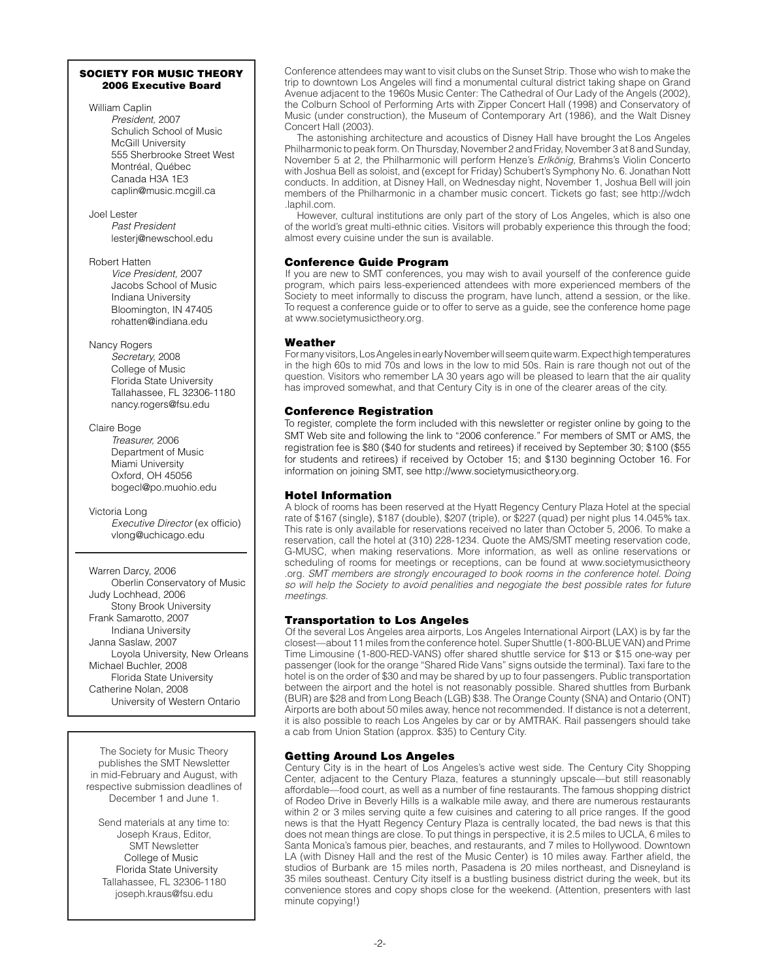## SOCIETY FOR MUSIC THEORY 2006 Executive Board

William Caplin *President,* 2007 Schulich School of Music McGill University 555 Sherbrooke Street West Montréal, Québec Canada H3A 1E3 caplin@music.mcgill.ca

Joel Lester *Past President* lesterj@newschool.edu

Robert Hatten *Vice President,* 2007 Jacobs School of Music Indiana University Bloomington, IN 47405 rohatten@indiana.edu

Nancy Rogers *Secretary,* 2008 College of Music Florida State University Tallahassee, FL 32306-1180 nancy.rogers@fsu.edu

Claire Boge *Treasurer,* 2006 Department of Music Miami University Oxford, OH 45056 bogecl@po.muohio.edu

Victoria Long *Executive Director* (ex officio) vlong@uchicago.edu

Warren Darcy, 2006 Oberlin Conservatory of Music Judy Lochhead, 2006 Stony Brook University Frank Samarotto, 2007 Indiana University Janna Saslaw, 2007 Loyola University, New Orleans Michael Buchler, 2008 Florida State University Catherine Nolan, 2008 University of Western Ontario

The Society for Music Theory publishes the SMT Newsletter in mid-February and August, with respective submission deadlines of December 1 and June 1.

Send materials at any time to: Joseph Kraus, Editor, SMT Newsletter College of Music Florida State University Tallahassee, FL 32306-1180 joseph.kraus@fsu.edu

Conference attendees may want to visit clubs on the Sunset Strip. Those who wish to make the trip to downtown Los Angeles will find a monumental cultural district taking shape on Grand Avenue adjacent to the 1960s Music Center: The Cathedral of Our Lady of the Angels (2002), the Colburn School of Performing Arts with Zipper Concert Hall (1998) and Conservatory of Music (under construction), the Museum of Contemporary Art (1986), and the Walt Disney Concert Hall (2003).

The astonishing architecture and acoustics of Disney Hall have brought the Los Angeles Philharmonic to peak form. On Thursday, November 2 and Friday, November 3 at 8 and Sunday, November 5 at 2, the Philharmonic will perform Henze's *Erlkönig,* Brahms's Violin Concerto with Joshua Bell as soloist, and (except for Friday) Schubert's Symphony No. 6. Jonathan Nott conducts. In addition, at Disney Hall, on Wednesday night, November 1, Joshua Bell will join members of the Philharmonic in a chamber music concert. Tickets go fast; see http://wdch .laphil.com.

However, cultural institutions are only part of the story of Los Angeles, which is also one of the world's great multi-ethnic cities. Visitors will probably experience this through the food; almost every cuisine under the sun is available.

# Conference Guide Program

If you are new to SMT conferences, you may wish to avail yourself of the conference guide program, which pairs less-experienced attendees with more experienced members of the Society to meet informally to discuss the program, have lunch, attend a session, or the like. To request a conference guide or to offer to serve as a guide, see the conference home page at www.societymusictheory.org.

# Weather

For many visitors, Los Angeles in early November will seem quite warm. Expect high temperatures in the high 60s to mid 70s and lows in the low to mid 50s. Rain is rare though not out of the question. Visitors who remember LA 30 years ago will be pleased to learn that the air quality has improved somewhat, and that Century City is in one of the clearer areas of the city.

# Conference Registration

To register, complete the form included with this newsletter or register online by going to the SMT Web site and following the link to "2006 conference." For members of SMT or AMS, the registration fee is \$80 (\$40 for students and retirees) if received by September 30; \$100 (\$55 for students and retirees) if received by October 15; and \$130 beginning October 16. For information on joining SMT, see http://www.societymusictheory.org.

# Hotel Information

A block of rooms has been reserved at the Hyatt Regency Century Plaza Hotel at the special rate of \$167 (single), \$187 (double), \$207 (triple), or \$227 (quad) per night plus 14.045% tax. This rate is only available for reservations received no later than October 5, 2006. To make a reservation, call the hotel at (310) 228-1234. Quote the AMS/SMT meeting reservation code, G-MUSC, when making reservations. More information, as well as online reservations or scheduling of rooms for meetings or receptions, can be found at www.societymusictheory .org. *SMT members are strongly encouraged to book rooms in the conference hotel. Doing so will help the Society to avoid penalities and negogiate the best possible rates for future meetings.*

# Transportation to Los Angeles

Of the several Los Angeles area airports, Los Angeles International Airport (LAX) is by far the closest—about 11 miles from the conference hotel. Super Shuttle (1-800-BLUE VAN) and Prime Time Limousine (1-800-RED-VANS) offer shared shuttle service for \$13 or \$15 one-way per passenger (look for the orange "Shared Ride Vans" signs outside the terminal). Taxi fare to the hotel is on the order of \$30 and may be shared by up to four passengers. Public transportation between the airport and the hotel is not reasonably possible. Shared shuttles from Burbank (BUR) are \$28 and from Long Beach (LGB) \$38. The Orange County (SNA) and Ontario (ONT) Airports are both about 50 miles away, hence not recommended. If distance is not a deterrent, it is also possible to reach Los Angeles by car or by AMTRAK. Rail passengers should take a cab from Union Station (approx. \$35) to Century City.

# Getting Around Los Angeles

Century City is in the heart of Los Angeles's active west side. The Century City Shopping Center, adjacent to the Century Plaza, features a stunningly upscale—but still reasonably affordable—food court, as well as a number of fine restaurants. The famous shopping district of Rodeo Drive in Beverly Hills is a walkable mile away, and there are numerous restaurants within 2 or 3 miles serving quite a few cuisines and catering to all price ranges. If the good news is that the Hyatt Regency Century Plaza is centrally located, the bad news is that this does not mean things are close. To put things in perspective, it is 2.5 miles to UCLA, 6 miles to Santa Monica's famous pier, beaches, and restaurants, and 7 miles to Hollywood. Downtown LA (with Disney Hall and the rest of the Music Center) is 10 miles away. Farther afield, the studios of Burbank are 15 miles north, Pasadena is 20 miles northeast, and Disneyland is 35 miles southeast. Century City itself is a bustling business district during the week, but its convenience stores and copy shops close for the weekend. (Attention, presenters with last minute copying!)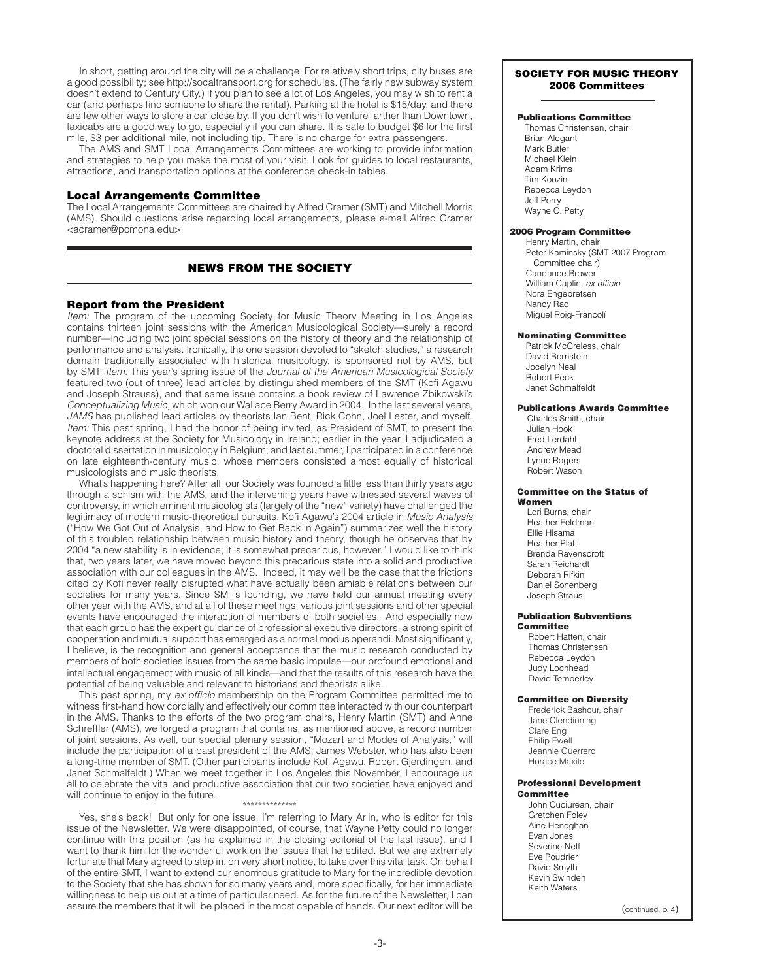In short, getting around the city will be a challenge. For relatively short trips, city buses are a good possibility; see http://socaltransport.org for schedules. (The fairly new subway system doesn't extend to Century City.) If you plan to see a lot of Los Angeles, you may wish to rent a car (and perhaps find someone to share the rental). Parking at the hotel is \$15/day, and there are few other ways to store a car close by. If you don't wish to venture farther than Downtown, taxicabs are a good way to go, especially if you can share. It is safe to budget \$6 for the first mile, \$3 per additional mile, not including tip. There is no charge for extra passengers.

The AMS and SMT Local Arrangements Committees are working to provide information and strategies to help you make the most of your visit. Look for guides to local restaurants, attractions, and transportation options at the conference check-in tables.

## Local Arrangements Committee

The Local Arrangements Committees are chaired by Alfred Cramer (SMT) and Mitchell Morris (AMS). Should questions arise regarding local arrangements, please e-mail Alfred Cramer <acramer@pomona.edu>.

# NEWS FROM THE SOCIETY

## Report from the President

*Item:* The program of the upcoming Society for Music Theory Meeting in Los Angeles contains thirteen joint sessions with the American Musicological Society—surely a record number—including two joint special sessions on the history of theory and the relationship of performance and analysis. Ironically, the one session devoted to "sketch studies," a research domain traditionally associated with historical musicology, is sponsored not by AMS, but by SMT. *Item:* This year's spring issue of the *Journal of the American Musicological Society*  featured two (out of three) lead articles by distinguished members of the SMT (Kofi Agawu and Joseph Strauss), and that same issue contains a book review of Lawrence Zbikowski's *Conceptualizing Music,* which won our Wallace Berry Award in 2004. In the last several years, *JAMS* has published lead articles by theorists Ian Bent, Rick Cohn, Joel Lester, and myself. *Item:* This past spring, I had the honor of being invited, as President of SMT, to present the keynote address at the Society for Musicology in Ireland; earlier in the year, I adjudicated a doctoral dissertation in musicology in Belgium; and last summer, I participated in a conference on late eighteenth-century music, whose members consisted almost equally of historical musicologists and music theorists.

What's happening here? After all, our Society was founded a little less than thirty years ago through a schism with the AMS, and the intervening years have witnessed several waves of controversy, in which eminent musicologists (largely of the "new" variety) have challenged the legitimacy of modern music-theoretical pursuits. Kofi Agawu's 2004 article in *Music Analysis* ("How We Got Out of Analysis, and How to Get Back in Again") summarizes well the history of this troubled relationship between music history and theory, though he observes that by 2004 "a new stability is in evidence; it is somewhat precarious, however." I would like to think that, two years later, we have moved beyond this precarious state into a solid and productive association with our colleagues in the AMS. Indeed, it may well be the case that the frictions cited by Kofi never really disrupted what have actually been amiable relations between our societies for many years. Since SMT's founding, we have held our annual meeting every other year with the AMS, and at all of these meetings, various joint sessions and other special events have encouraged the interaction of members of both societies. And especially now that each group has the expert guidance of professional executive directors, a strong spirit of cooperation and mutual support has emerged as a normal modus operandi. Most significantly, I believe, is the recognition and general acceptance that the music research conducted by members of both societies issues from the same basic impulse—our profound emotional and intellectual engagement with music of all kinds—and that the results of this research have the potential of being valuable and relevant to historians and theorists alike.

This past spring, my *ex officio* membership on the Program Committee permitted me to witness first-hand how cordially and effectively our committee interacted with our counterpart in the AMS. Thanks to the efforts of the two program chairs, Henry Martin (SMT) and Anne Schreffler (AMS), we forged a program that contains, as mentioned above, a record number of joint sessions. As well, our special plenary session, "Mozart and Modes of Analysis," will include the participation of a past president of the AMS, James Webster, who has also been a long-time member of SMT. (Other participants include Kofi Agawu, Robert Gjerdingen, and Janet Schmalfeldt.) When we meet together in Los Angeles this November, I encourage us all to celebrate the vital and productive association that our two societies have enjoyed and will continue to enjoy in the future.

## \*\*\*\*\*\*\*\*\*\*\*\*\*\*

Yes, she's back! But only for one issue. I'm referring to Mary Arlin, who is editor for this issue of the Newsletter. We were disappointed, of course, that Wayne Petty could no longer continue with this position (as he explained in the closing editorial of the last issue), and I want to thank him for the wonderful work on the issues that he edited. But we are extremely fortunate that Mary agreed to step in, on very short notice, to take over this vital task. On behalf of the entire SMT, I want to extend our enormous gratitude to Mary for the incredible devotion to the Society that she has shown for so many years and, more specifically, for her immediate willingness to help us out at a time of particular need. As for the future of the Newsletter, I can assure the members that it will be placed in the most capable of hands. Our next editor will be  $\left( \begin{array}{c} \text{continued} \\ \text{0} \end{array} \right)$ 

## SOCIETY FOR MUSIC THEORY 2006 Committees

## Publications Committee

Thomas Christensen, chair Brian Alegant Mark Butler Michael Klein Adam Krims Tim Koozin Rebecca Leydon Jeff Perry Wayne C. Petty

#### 2006 Program Committee

Henry Martin, chair Peter Kaminsky (SMT 2007 Program Committee chair) Candance Brower William Caplin, *ex officio* Nora Engebretsen Nancy Rao Miguel Roig-Francolí

#### Nominating Committee

Patrick McCreless, chair David Bernstein Jocelyn Neal Robert Peck Janet Schmalfeldt

#### Publications Awards Committee

Charles Smith, chair Julian Hook Fred Lerdahl Andrew Mead Lynne Rogers Robert Wason

#### Committee on the Status of Women

Lori Burns, chair Heather Feldman Ellie Hisama Heather Platt Brenda Ravenscroft Sarah Reichardt Deborah Rifkin Daniel Sonenberg Joseph Straus

## Publication Subventions

Committee Robert Hatten, chair Thomas Christensen Rebecca Leydon Judy Lochhead David Temperley

#### Committee on Diversity

Frederick Bashour, chair Jane Clendinning Clare Eng Philip Ewell Jeannie Guerrero Horace Maxile

# Professional Development

# **Committee**

John Cuciurean, chair Gretchen Foley Áine Heneghan Evan Jones Severine Neff Eve Poudrier David Smyth Kevin Swinden Keith Waters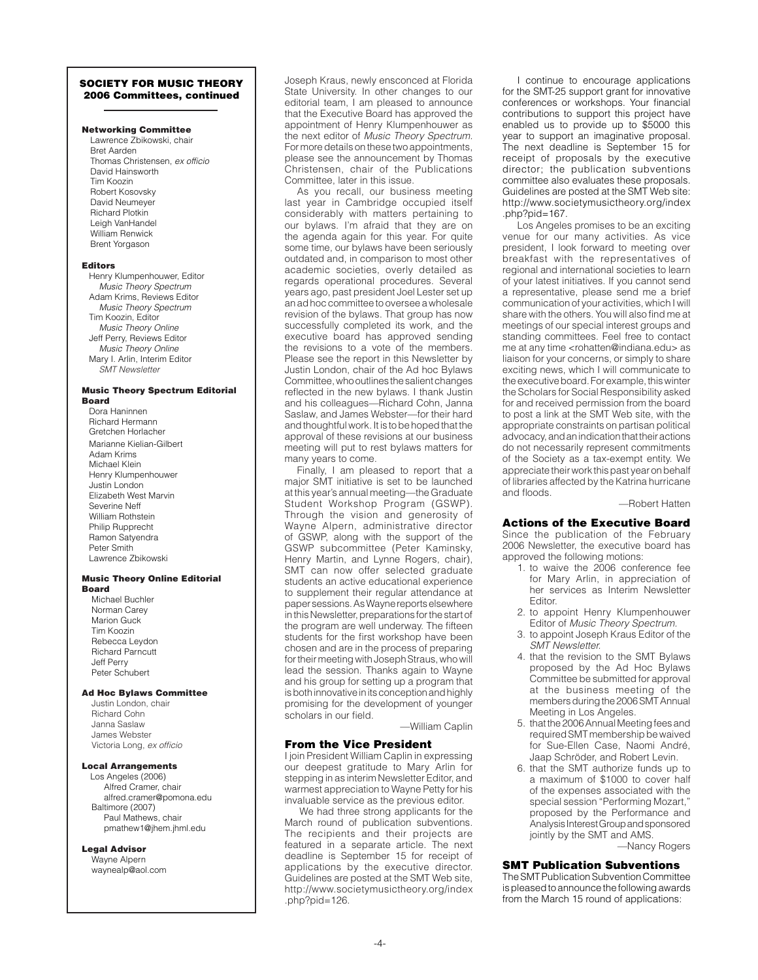## SOCIETY FOR MUSIC THEORY 2006 Committees, continued

## Networking Committee

Lawrence Zbikowski, chair Bret Aarden Thomas Christensen, *ex officio* David Hainsworth Tim Koozin Robert Kosovsky David Neumeyer Richard Plotkin Leigh VanHandel William Renwick Brent Yorgason

#### Editors

Henry Klumpenhouwer, Editor *Music Theory Spectrum* Adam Krims, Reviews Editor *Music Theory Spectrum* Tim Koozin, Editor *Music Theory Online* Jeff Perry, Reviews Editor *Music Theory Online* Mary I. Arlin, Interim Editor *SMT Newsletter*

#### Music Theory Spectrum Editorial Board

Dora Haninnen Richard Hermann Gretchen Horlacher Marianne Kielian-Gilbert Adam Krims Michael Klein Henry Klumpenhouwer Justin London Elizabeth West Marvin Severine Neff William Rothstein Philip Rupprecht Ramon Satyendra Peter Smith Lawrence Zbikowski

#### Music Theory Online Editorial Board

Michael Buchler Norman Carey Marion Guck Tim Koozin Rebecca Leydon Richard Parncutt Jeff Perry Peter Schubert

#### Ad Hoc Bylaws Committee

Justin London, chair Richard Cohn Janna Saslaw James Webster Victoria Long, *ex officio*

#### Local Arrangements

Los Angeles (2006) Alfred Cramer, chair alfred.cramer@pomona.edu Baltimore (2007) Paul Mathews, chair pmathew1@jhem.jhml.edu

## Legal Advisor

Wayne Alpern waynealp@aol.com

Joseph Kraus, newly ensconced at Florida State University. In other changes to our editorial team, I am pleased to announce that the Executive Board has approved the appointment of Henry Klumpenhouwer as the next editor of *Music Theory Spectrum.* For more details on these two appointments, please see the announcement by Thomas Christensen, chair of the Publications Committee, later in this issue.

As you recall, our business meeting last year in Cambridge occupied itself considerably with matters pertaining to our bylaws. I'm afraid that they are on the agenda again for this year. For quite some time, our bylaws have been seriously outdated and, in comparison to most other academic societies, overly detailed as regards operational procedures. Several years ago, past president Joel Lester set up an ad hoc committee to oversee a wholesale revision of the bylaws. That group has now successfully completed its work, and the executive board has approved sending the revisions to a vote of the members. Please see the report in this Newsletter by Justin London, chair of the Ad hoc Bylaws Committee, who outlines the salient changes reflected in the new bylaws. I thank Justin and his colleagues—Richard Cohn, Janna Saslaw, and James Webster—for their hard and thoughtful work. It is to be hoped that the approval of these revisions at our business meeting will put to rest bylaws matters for many years to come.

Finally, I am pleased to report that a major SMT initiative is set to be launched at this year's annual meeting—the Graduate Student Workshop Program (GSWP). Through the vision and generosity of Wayne Alpern, administrative director of GSWP, along with the support of the GSWP subcommittee (Peter Kaminsky, Henry Martin, and Lynne Rogers, chair), SMT can now offer selected graduate students an active educational experience to supplement their regular attendance at paper sessions. As Wayne reports elsewhere in this Newsletter, preparations for the start of the program are well underway. The fifteen students for the first workshop have been chosen and are in the process of preparing for their meeting with Joseph Straus, who will lead the session. Thanks again to Wayne and his group for setting up a program that is both innovative in its conception and highly promising for the development of younger scholars in our field.

—William Caplin

#### From the Vice President

I join President William Caplin in expressing our deepest gratitude to Mary Arlin for stepping in as interim Newsletter Editor, and warmest appreciation to Wayne Petty for his invaluable service as the previous editor.

We had three strong applicants for the March round of publication subventions. The recipients and their projects are featured in a separate article. The next deadline is September 15 for receipt of applications by the executive director. Guidelines are posted at the SMT Web site, http://www.societymusictheory.org/index .php?pid=126.

I continue to encourage applications for the SMT-25 support grant for innovative conferences or workshops. Your financial contributions to support this project have enabled us to provide up to \$5000 this year to support an imaginative proposal. The next deadline is September 15 for receipt of proposals by the executive director; the publication subventions committee also evaluates these proposals. Guidelines are posted at the SMT Web site: http://www.societymusictheory.org/index .php?pid=167.

Los Angeles promises to be an exciting venue for our many activities. As vice president, I look forward to meeting over breakfast with the representatives of regional and international societies to learn of your latest initiatives. If you cannot send a representative, please send me a brief communication of your activities, which I will share with the others. You will also find me at meetings of our special interest groups and standing committees. Feel free to contact me at any time <rohatten@indiana.edu> as liaison for your concerns, or simply to share exciting news, which I will communicate to the executive board. For example, this winter the Scholars for Social Responsibility asked for and received permission from the board to post a link at the SMT Web site, with the appropriate constraints on partisan political advocacy, and an indication that their actions do not necessarily represent commitments of the Society as a tax-exempt entity. We appreciate their work this past year on behalf of libraries affected by the Katrina hurricane and floods.

#### —Robert Hatten

#### Actions of the Executive Board

Since the publication of the February 2006 Newsletter, the executive board has approved the following motions:

- 1. to waive the 2006 conference fee for Mary Arlin, in appreciation of her services as Interim Newsletter Editor.
- 2. to appoint Henry Klumpenhouwer Editor of *Music Theory Spectrum.*
- 3. to appoint Joseph Kraus Editor of the *SMT Newsletter.*
- 4. that the revision to the SMT Bylaws proposed by the Ad Hoc Bylaws Committee be submitted for approval at the business meeting of the members during the 2006 SMT Annual Meeting in Los Angeles.
- 5. that the 2006 Annual Meeting fees and required SMT membership be waived for Sue-Ellen Case, Naomi André, Jaap Schröder, and Robert Levin.
- 6. that the SMT authorize funds up to a maximum of \$1000 to cover half of the expenses associated with the special session "Performing Mozart," proposed by the Performance and Analysis Interest Group and sponsored jointly by the SMT and AMS.

—Nancy Rogers

## SMT Publication Subventions

The SMT Publication Subvention Committee is pleased to announce the following awards from the March 15 round of applications: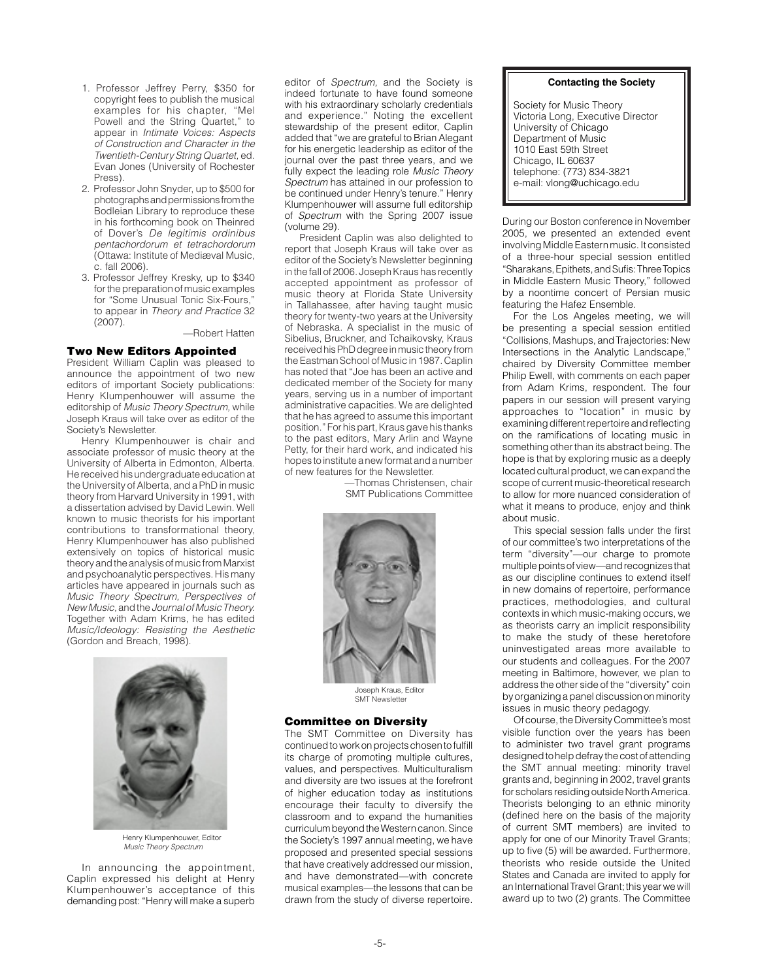- 1. Professor Jeffrey Perry, \$350 for copyright fees to publish the musical examples for his chapter, "Mel Powell and the String Quartet," to appear in *Intimate Voices: Aspects of Construction and Character in the Twentieth-Century String Quartet,* ed. Evan Jones (University of Rochester Press).
- 2. Professor John Snyder, up to \$500 for photographs and permissions from the Bodleian Library to reproduce these in his forthcoming book on Theinred of Dover's *De legitimis ordinibus pentachordorum et tetrachordorum* (Ottawa: Institute of Mediæval Music, c. fall 2006).
- 3. Professor Jeffrey Kresky, up to \$340 for the preparation of music examples for "Some Unusual Tonic Six-Fours," to appear in *Theory and Practice* 32 (2007).

—Robert Hatten

## Two New Editors Appointed

President William Caplin was pleased to announce the appointment of two new editors of important Society publications: Henry Klumpenhouwer will assume the editorship of *Music Theory Spectrum,* while Joseph Kraus will take over as editor of the Society's Newsletter.

Henry Klumpenhouwer is chair and associate professor of music theory at the University of Alberta in Edmonton, Alberta. He received his undergraduate education at the University of Alberta, and a PhD in music theory from Harvard University in 1991, with a dissertation advised by David Lewin. Well known to music theorists for his important contributions to transformational theory, Henry Klumpenhouwer has also published extensively on topics of historical music theory and the analysis of music from Marxist and psychoanalytic perspectives. His many articles have appeared in journals such as *Music Theory Spectrum, Perspectives of New Music,* and the *Journal of Music Theory.*  Together with Adam Krims, he has edited *Music/Ideology: Resisting the Aesthetic*  (Gordon and Breach, 1998).



Henry Klumpenhouwer, Editor *Music Theory Spectrum*

In announcing the appointment, Caplin expressed his delight at Henry Klumpenhouwer's acceptance of this demanding post: "Henry will make a superb

editor of *Spectrum,* and the Society is indeed fortunate to have found someone with his extraordinary scholarly credentials and experience." Noting the excellent stewardship of the present editor, Caplin added that "we are grateful to Brian Alegant for his energetic leadership as editor of the journal over the past three years, and we fully expect the leading role *Music Theory Spectrum* has attained in our profession to be continued under Henry's tenure." Henry Klumpenhouwer will assume full editorship of *Spectrum* with the Spring 2007 issue (volume 29).

President Caplin was also delighted to report that Joseph Kraus will take over as editor of the Society's Newsletter beginning in the fall of 2006. Joseph Kraus has recently accepted appointment as professor of music theory at Florida State University in Tallahassee, after having taught music theory for twenty-two years at the University of Nebraska. A specialist in the music of Sibelius, Bruckner, and Tchaikovsky, Kraus received his PhD degree in music theory from the Eastman School of Music in 1987. Caplin has noted that "Joe has been an active and dedicated member of the Society for many years, serving us in a number of important administrative capacities. We are delighted that he has agreed to assume this important position." For his part, Kraus gave his thanks to the past editors, Mary Arlin and Wayne Petty, for their hard work, and indicated his hopes to institute a new format and a number of new features for the Newsletter.

> —Thomas Christensen, chair SMT Publications Committee



Joseph Kraus, Editor SMT Newslette

#### Committee on Diversity

The SMT Committee on Diversity has continued to work on projects chosen to fulfill its charge of promoting multiple cultures, values, and perspectives. Multiculturalism and diversity are two issues at the forefront of higher education today as institutions encourage their faculty to diversify the classroom and to expand the humanities curriculum beyond the Western canon. Since the Society's 1997 annual meeting, we have proposed and presented special sessions that have creatively addressed our mission, and have demonstrated—with concrete musical examples—the lessons that can be drawn from the study of diverse repertoire.

#### **Contacting the Society**

Society for Music Theory Victoria Long, Executive Director University of Chicago Department of Music 1010 East 59th Street Chicago, IL 60637 telephone: (773) 834-3821 e-mail: vlong@uchicago.edu

During our Boston conference in November 2005, we presented an extended event involving Middle Eastern music. It consisted of a three-hour special session entitled "Sharakans, Epithets, and Sufis: Three Topics in Middle Eastern Music Theory," followed by a noontime concert of Persian music featuring the Hafez Ensemble.

For the Los Angeles meeting, we will be presenting a special session entitled "Collisions, Mashups, and Trajectories: New Intersections in the Analytic Landscape," chaired by Diversity Committee member Philip Ewell, with comments on each paper from Adam Krims, respondent. The four papers in our session will present varying approaches to "location" in music by examining different repertoire and reflecting on the ramifications of locating music in something other than its abstract being. The hope is that by exploring music as a deeply located cultural product, we can expand the scope of current music-theoretical research to allow for more nuanced consideration of what it means to produce, enjoy and think about music.

This special session falls under the first of our committee's two interpretations of the term "diversity"—our charge to promote multiple points of view—and recognizes that as our discipline continues to extend itself in new domains of repertoire, performance practices, methodologies, and cultural contexts in which music-making occurs, we as theorists carry an implicit responsibility to make the study of these heretofore uninvestigated areas more available to our students and colleagues. For the 2007 meeting in Baltimore, however, we plan to address the other side of the "diversity" coin by organizing a panel discussion on minority issues in music theory pedagogy.

Of course, the Diversity Committee's most visible function over the years has been to administer two travel grant programs designed to help defray the cost of attending the SMT annual meeting: minority travel grants and, beginning in 2002, travel grants for scholars residing outside North America. Theorists belonging to an ethnic minority (defined here on the basis of the majority of current SMT members) are invited to apply for one of our Minority Travel Grants; up to five (5) will be awarded. Furthermore, theorists who reside outside the United States and Canada are invited to apply for an International Travel Grant; this year we will award up to two (2) grants. The Committee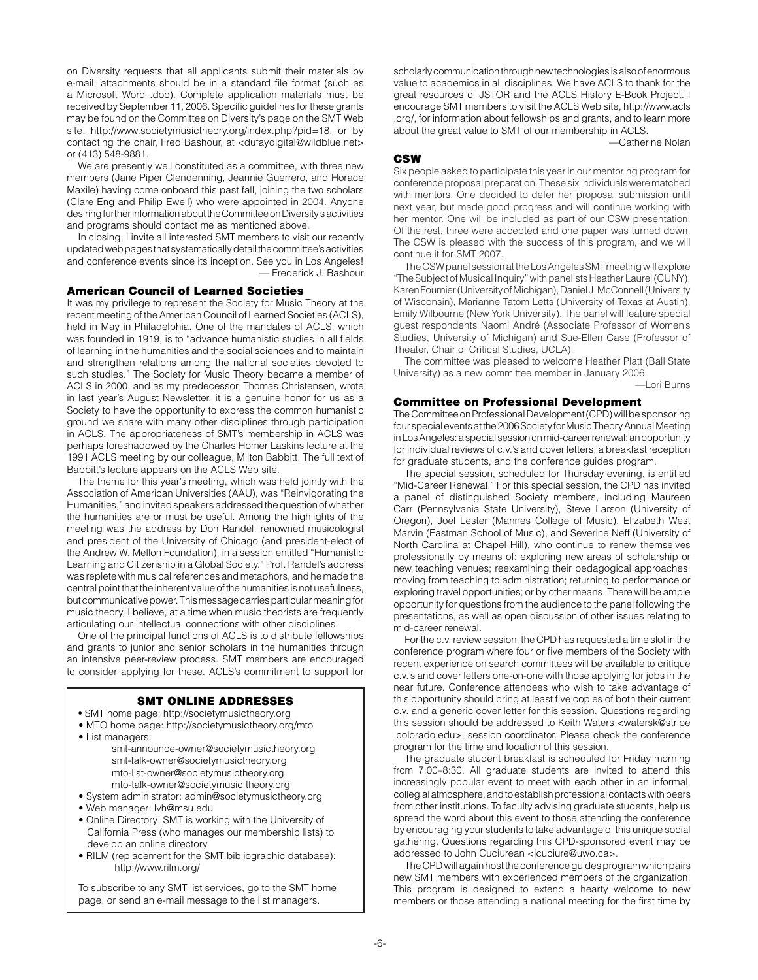on Diversity requests that all applicants submit their materials by e-mail; attachments should be in a standard file format (such as a Microsoft Word .doc). Complete application materials must be received by September 11, 2006. Specific guidelines for these grants may be found on the Committee on Diversity's page on the SMT Web site, http://www.societymusictheory.org/index.php?pid=18, or by contacting the chair, Fred Bashour, at <dufaydigital@wildblue.net> or (413) 548-9881.

We are presently well constituted as a committee, with three new members (Jane Piper Clendenning, Jeannie Guerrero, and Horace Maxile) having come onboard this past fall, joining the two scholars (Clare Eng and Philip Ewell) who were appointed in 2004. Anyone desiring further information about the Committee on Diversity's activities and programs should contact me as mentioned above.

In closing, I invite all interested SMT members to visit our recently updated web pages that systematically detail the committee's activities and conference events since its inception. See you in Los Angeles! — Frederick J. Bashour

## American Council of Learned Societies

It was my privilege to represent the Society for Music Theory at the recent meeting of the American Council of Learned Societies (ACLS), held in May in Philadelphia. One of the mandates of ACLS, which was founded in 1919, is to "advance humanistic studies in all fields of learning in the humanities and the social sciences and to maintain and strengthen relations among the national societies devoted to such studies." The Society for Music Theory became a member of ACLS in 2000, and as my predecessor, Thomas Christensen, wrote in last year's August Newsletter, it is a genuine honor for us as a Society to have the opportunity to express the common humanistic ground we share with many other disciplines through participation in ACLS. The appropriateness of SMT's membership in ACLS was perhaps foreshadowed by the Charles Homer Laskins lecture at the 1991 ACLS meeting by our colleague, Milton Babbitt. The full text of Babbitt's lecture appears on the ACLS Web site.

The theme for this year's meeting, which was held jointly with the Association of American Universities (AAU), was "Reinvigorating the Humanities," and invited speakers addressed the question of whether the humanities are or must be useful. Among the highlights of the meeting was the address by Don Randel, renowned musicologist and president of the University of Chicago (and president-elect of the Andrew W. Mellon Foundation), in a session entitled "Humanistic Learning and Citizenship in a Global Society." Prof. Randel's address was replete with musical references and metaphors, and he made the central point that the inherent value of the humanities is not usefulness, but communicative power. This message carries particular meaning for music theory, I believe, at a time when music theorists are frequently articulating our intellectual connections with other disciplines.

One of the principal functions of ACLS is to distribute fellowships and grants to junior and senior scholars in the humanities through an intensive peer-review process. SMT members are encouraged to consider applying for these. ACLS's commitment to support for

## SMT Online Addresses

- SMT home page: http://societymusictheory.org
- MTO home page: http://societymusictheory.org/mto • List managers:

 smt-announce-owner@societymusictheory.org smt-talk-owner@societymusictheory.org mto-list-owner@societymusictheory.org mto-talk-owner@societymusic theory.org

- System administrator: admin@societymusictheory.org
- Web manager: lvh@msu.edu
- Online Directory: SMT is working with the University of California Press (who manages our membership lists) to develop an online directory
- RILM (replacement for the SMT bibliographic database): http://www.rilm.org/

To subscribe to any SMT list services, go to the SMT home page, or send an e-mail message to the list managers.

scholarly communication through new technologies is also of enormous value to academics in all disciplines. We have ACLS to thank for the great resources of JSTOR and the ACLS History E-Book Project. I encourage SMT members to visit the ACLS Web site, http://www.acls .org/, for information about fellowships and grants, and to learn more about the great value to SMT of our membership in ACLS.

—Catherine Nolan

## CSW

Six people asked to participate this year in our mentoring program for conference proposal preparation. These six individuals were matched with mentors. One decided to defer her proposal submission until next year, but made good progress and will continue working with her mentor. One will be included as part of our CSW presentation. Of the rest, three were accepted and one paper was turned down. The CSW is pleased with the success of this program, and we will continue it for SMT 2007.

The CSW panel session at the Los Angeles SMT meeting will explore "The Subject of Musical Inquiry" with panelists Heather Laurel (CUNY), Karen Fournier (University of Michigan), Daniel J. McConnell (University of Wisconsin), Marianne Tatom Letts (University of Texas at Austin), Emily Wilbourne (New York University). The panel will feature special guest respondents Naomi André (Associate Professor of Women's Studies, University of Michigan) and Sue-Ellen Case (Professor of Theater, Chair of Critical Studies, UCLA).

The committee was pleased to welcome Heather Platt (Ball State University) as a new committee member in January 2006.

# —Lori Burns

# Committee on Professional Development

The Committee on Professional Development (CPD) will be sponsoring four special events at the 2006 Society for Music Theory Annual Meeting in Los Angeles: a special session on mid-career renewal; an opportunity for individual reviews of c.v.'s and cover letters, a breakfast reception for graduate students, and the conference guides program.

The special session, scheduled for Thursday evening, is entitled "Mid-Career Renewal." For this special session, the CPD has invited a panel of distinguished Society members, including Maureen Carr (Pennsylvania State University), Steve Larson (University of Oregon), Joel Lester (Mannes College of Music), Elizabeth West Marvin (Eastman School of Music), and Severine Neff (University of North Carolina at Chapel Hill), who continue to renew themselves professionally by means of: exploring new areas of scholarship or new teaching venues; reexamining their pedagogical approaches; moving from teaching to administration; returning to performance or exploring travel opportunities; or by other means. There will be ample opportunity for questions from the audience to the panel following the presentations, as well as open discussion of other issues relating to mid-career renewal.

For the c.v. review session, the CPD has requested a time slot in the conference program where four or five members of the Society with recent experience on search committees will be available to critique c.v.'s and cover letters one-on-one with those applying for jobs in the near future. Conference attendees who wish to take advantage of this opportunity should bring at least five copies of both their current c.v. and a generic cover letter for this session. Questions regarding this session should be addressed to Keith Waters <watersk@stripe .colorado.edu>, session coordinator. Please check the conference program for the time and location of this session.

The graduate student breakfast is scheduled for Friday morning from 7:00–8:30. All graduate students are invited to attend this increasingly popular event to meet with each other in an informal, collegial atmosphere, and to establish professional contacts with peers from other institutions. To faculty advising graduate students, help us spread the word about this event to those attending the conference by encouraging your students to take advantage of this unique social gathering. Questions regarding this CPD-sponsored event may be addressed to John Cuciurean <jcuciure@uwo.ca>.

The CPD will again host the conference guides program which pairs new SMT members with experienced members of the organization. This program is designed to extend a hearty welcome to new members or those attending a national meeting for the first time by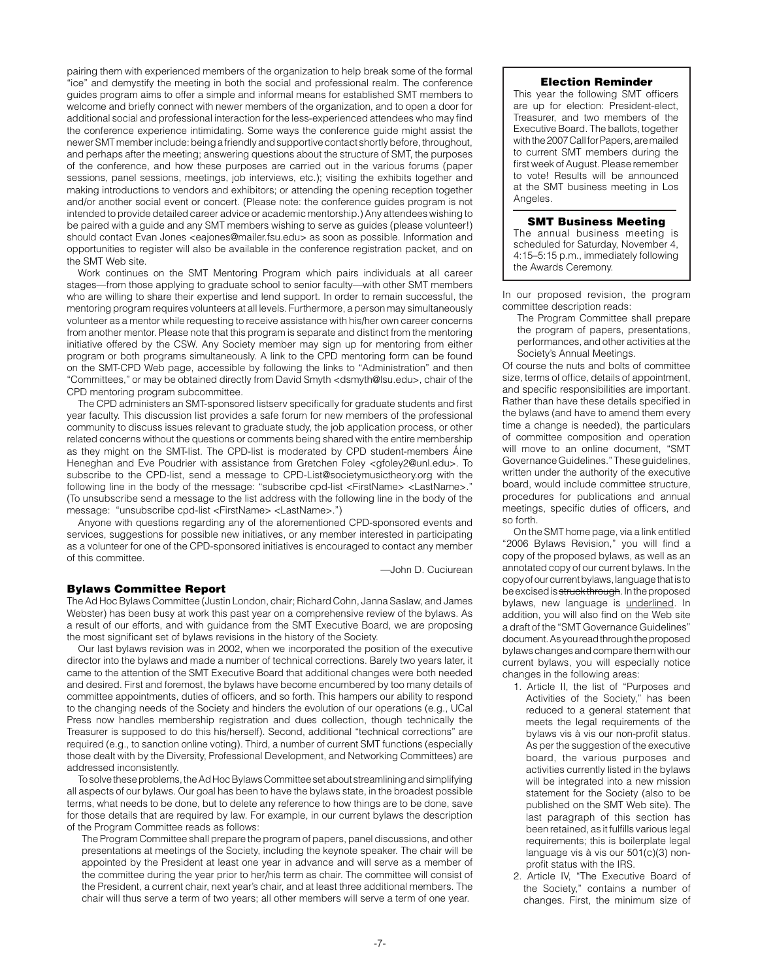pairing them with experienced members of the organization to help break some of the formal "ice" and demystify the meeting in both the social and professional realm. The conference guides program aims to offer a simple and informal means for established SMT members to welcome and briefly connect with newer members of the organization, and to open a door for additional social and professional interaction for the less-experienced attendees who may find the conference experience intimidating. Some ways the conference guide might assist the newer SMT member include: being a friendly and supportive contact shortly before, throughout, and perhaps after the meeting; answering questions about the structure of SMT, the purposes of the conference, and how these purposes are carried out in the various forums (paper sessions, panel sessions, meetings, job interviews, etc.); visiting the exhibits together and making introductions to vendors and exhibitors; or attending the opening reception together and/or another social event or concert. (Please note: the conference guides program is not intended to provide detailed career advice or academic mentorship.) Any attendees wishing to be paired with a guide and any SMT members wishing to serve as guides (please volunteer!) should contact Evan Jones <eajones@mailer.fsu.edu> as soon as possible. Information and opportunities to register will also be available in the conference registration packet, and on the SMT Web site.

Work continues on the SMT Mentoring Program which pairs individuals at all career stages—from those applying to graduate school to senior faculty—with other SMT members who are willing to share their expertise and lend support. In order to remain successful, the mentoring program requires volunteers at all levels. Furthermore, a person may simultaneously volunteer as a mentor while requesting to receive assistance with his/her own career concerns from another mentor. Please note that this program is separate and distinct from the mentoring initiative offered by the CSW. Any Society member may sign up for mentoring from either program or both programs simultaneously. A link to the CPD mentoring form can be found on the SMT-CPD Web page, accessible by following the links to "Administration" and then "Committees," or may be obtained directly from David Smyth <dsmyth@lsu.edu>, chair of the CPD mentoring program subcommittee.

The CPD administers an SMT-sponsored listserv specifically for graduate students and first year faculty. This discussion list provides a safe forum for new members of the professional community to discuss issues relevant to graduate study, the job application process, or other related concerns without the questions or comments being shared with the entire membership as they might on the SMT-list. The CPD-list is moderated by CPD student-members Áine Heneghan and Eve Poudrier with assistance from Gretchen Foley <gfoley2@unl.edu>. To subscribe to the CPD-list, send a message to CPD-List@societymusictheory.org with the following line in the body of the message: "subscribe cpd-list <FirstName> <LastName>." (To unsubscribe send a message to the list address with the following line in the body of the message: "unsubscribe cpd-list <FirstName> <LastName>.")

Anyone with questions regarding any of the aforementioned CPD-sponsored events and services, suggestions for possible new initiatives, or any member interested in participating as a volunteer for one of the CPD-sponsored initiatives is encouraged to contact any member of this committee.

—John D. Cuciurean

## Bylaws Committee Report

The Ad Hoc Bylaws Committee (Justin London, chair; Richard Cohn, Janna Saslaw, and James Webster) has been busy at work this past year on a comprehensive review of the bylaws. As a result of our efforts, and with guidance from the SMT Executive Board, we are proposing the most significant set of bylaws revisions in the history of the Society.

Our last bylaws revision was in 2002, when we incorporated the position of the executive director into the bylaws and made a number of technical corrections. Barely two years later, it came to the attention of the SMT Executive Board that additional changes were both needed and desired. First and foremost, the bylaws have become encumbered by too many details of committee appointments, duties of officers, and so forth. This hampers our ability to respond to the changing needs of the Society and hinders the evolution of our operations (e.g., UCal Press now handles membership registration and dues collection, though technically the Treasurer is supposed to do this his/herself). Second, additional "technical corrections" are required (e.g., to sanction online voting). Third, a number of current SMT functions (especially those dealt with by the Diversity, Professional Development, and Networking Committees) are addressed inconsistently.

To solve these problems, the Ad Hoc Bylaws Committee set about streamlining and simplifying all aspects of our bylaws. Our goal has been to have the bylaws state, in the broadest possible terms, what needs to be done, but to delete any reference to how things are to be done, save for those details that are required by law. For example, in our current bylaws the description of the Program Committee reads as follows:

The Program Committee shall prepare the program of papers, panel discussions, and other presentations at meetings of the Society, including the keynote speaker. The chair will be appointed by the President at least one year in advance and will serve as a member of the committee during the year prior to her/his term as chair. The committee will consist of the President, a current chair, next year's chair, and at least three additional members. The chair will thus serve a term of two years; all other members will serve a term of one year.

#### Election Reminder

This year the following SMT officers are up for election: President-elect, Treasurer, and two members of the Executive Board. The ballots, together with the 2007 Call for Papers, are mailed to current SMT members during the first week of August. Please remember to vote! Results will be announced at the SMT business meeting in Los Angeles.

#### SMT Business Meeting

The annual business meeting is scheduled for Saturday, November 4, 4:15–5:15 p.m., immediately following the Awards Ceremony.

In our proposed revision, the program committee description reads:

The Program Committee shall prepare the program of papers, presentations, performances, and other activities at the Society's Annual Meetings.

Of course the nuts and bolts of committee size, terms of office, details of appointment, and specific responsibilities are important. Rather than have these details specified in the bylaws (and have to amend them every time a change is needed), the particulars of committee composition and operation will move to an online document, "SMT Governance Guidelines." These guidelines, written under the authority of the executive board, would include committee structure, procedures for publications and annual meetings, specific duties of officers, and so forth.

On the SMT home page, via a link entitled "2006 Bylaws Revision," you will find a copy of the proposed bylaws, as well as an annotated copy of our current bylaws. In the copy of our current bylaws, language that is to be excised is struck through. In the proposed bylaws, new language is underlined. In addition, you will also find on the Web site a draft of the "SMT Governance Guidelines" document. As you read through the proposed bylaws changes and compare them with our current bylaws, you will especially notice changes in the following areas:

- 1. Article II, the list of "Purposes and Activities of the Society," has been reduced to a general statement that meets the legal requirements of the bylaws vis à vis our non-profit status. As per the suggestion of the executive board, the various purposes and activities currently listed in the bylaws will be integrated into a new mission statement for the Society (also to be published on the SMT Web site). The last paragraph of this section has been retained, as it fulfills various legal requirements; this is boilerplate legal language vis à vis our 501(c)(3) nonprofit status with the IRS.
- 2. Article IV, "The Executive Board of the Society," contains a number of changes. First, the minimum size of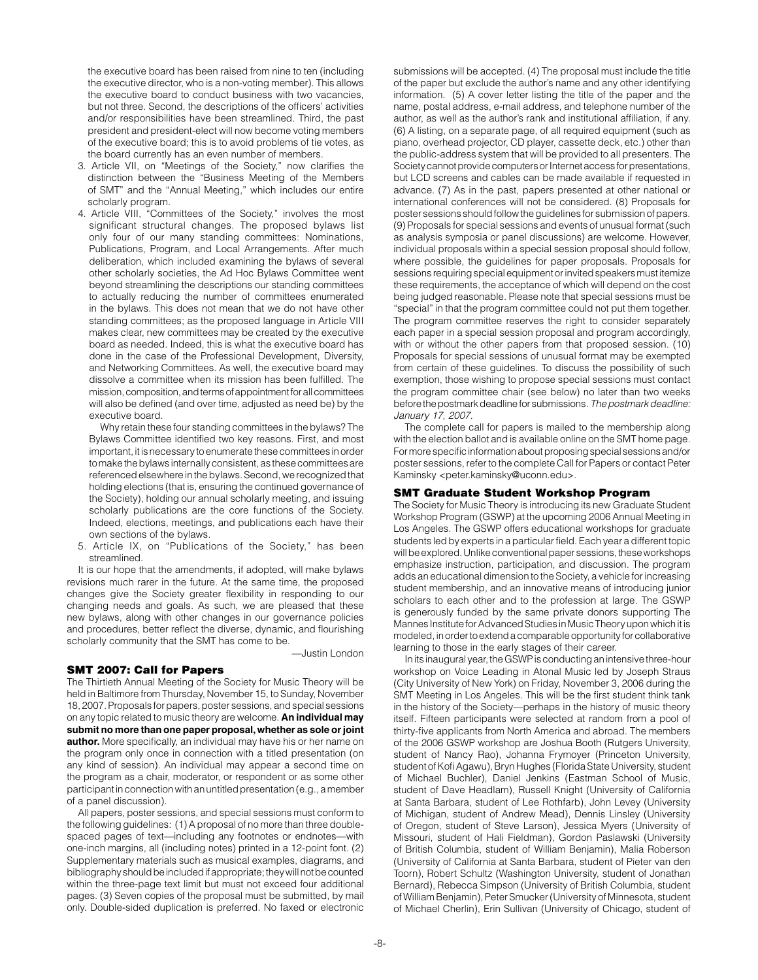the executive board has been raised from nine to ten (including the executive director, who is a non-voting member). This allows the executive board to conduct business with two vacancies, but not three. Second, the descriptions of the officers' activities and/or responsibilities have been streamlined. Third, the past president and president-elect will now become voting members of the executive board; this is to avoid problems of tie votes, as the board currently has an even number of members.

- 3. Article VII, on "Meetings of the Society," now clarifies the distinction between the "Business Meeting of the Members of SMT" and the "Annual Meeting," which includes our entire scholarly program.
- 4. Article VIII, "Committees of the Society," involves the most significant structural changes. The proposed bylaws list only four of our many standing committees: Nominations, Publications, Program, and Local Arrangements. After much deliberation, which included examining the bylaws of several other scholarly societies, the Ad Hoc Bylaws Committee went beyond streamlining the descriptions our standing committees to actually reducing the number of committees enumerated in the bylaws. This does not mean that we do not have other standing committees; as the proposed language in Article VIII makes clear, new committees may be created by the executive board as needed. Indeed, this is what the executive board has done in the case of the Professional Development, Diversity, and Networking Committees. As well, the executive board may dissolve a committee when its mission has been fulfilled. The mission, composition, and terms of appointment for all committees will also be defined (and over time, adjusted as need be) by the executive board.

 Why retain these four standing committees in the bylaws? The Bylaws Committee identified two key reasons. First, and most important, it is necessary to enumerate these committees in order to make the bylaws internally consistent, as these committees are referenced elsewhere in the bylaws. Second, we recognized that holding elections (that is, ensuring the continued governance of the Society), holding our annual scholarly meeting, and issuing scholarly publications are the core functions of the Society. Indeed, elections, meetings, and publications each have their own sections of the bylaws.

5. Article IX, on "Publications of the Society," has been streamlined.

It is our hope that the amendments, if adopted, will make bylaws revisions much rarer in the future. At the same time, the proposed changes give the Society greater flexibility in responding to our changing needs and goals. As such, we are pleased that these new bylaws, along with other changes in our governance policies and procedures, better reflect the diverse, dynamic, and flourishing scholarly community that the SMT has come to be.

—Justin London

#### SMT 2007: Call for Papers

The Thirtieth Annual Meeting of the Society for Music Theory will be held in Baltimore from Thursday, November 15, to Sunday, November 18, 2007. Proposals for papers, poster sessions, and special sessions on any topic related to music theory are welcome. **An individual may submit no more than one paper proposal, whether as sole or joint author.** More specifically, an individual may have his or her name on the program only once in connection with a titled presentation (on any kind of session). An individual may appear a second time on the program as a chair, moderator, or respondent or as some other participant in connection with an untitled presentation (e.g., a member of a panel discussion).

All papers, poster sessions, and special sessions must conform to the following guidelines: (1) A proposal of no more than three doublespaced pages of text—including any footnotes or endnotes—with one-inch margins, all (including notes) printed in a 12-point font. (2) Supplementary materials such as musical examples, diagrams, and bibliography should be included if appropriate; they will not be counted within the three-page text limit but must not exceed four additional pages. (3) Seven copies of the proposal must be submitted, by mail only. Double-sided duplication is preferred. No faxed or electronic

submissions will be accepted. (4) The proposal must include the title of the paper but exclude the author's name and any other identifying information. (5) A cover letter listing the title of the paper and the name, postal address, e-mail address, and telephone number of the author, as well as the author's rank and institutional affiliation, if any. (6) A listing, on a separate page, of all required equipment (such as piano, overhead projector, CD player, cassette deck, etc.) other than the public-address system that will be provided to all presenters. The Society cannot provide computers or Internet access for presentations, but LCD screens and cables can be made available if requested in advance. (7) As in the past, papers presented at other national or international conferences will not be considered. (8) Proposals for poster sessions should follow the guidelines for submission of papers. (9) Proposals for special sessions and events of unusual format (such as analysis symposia or panel discussions) are welcome. However, individual proposals within a special session proposal should follow, where possible, the guidelines for paper proposals. Proposals for sessions requiring special equipment or invited speakers must itemize these requirements, the acceptance of which will depend on the cost being judged reasonable. Please note that special sessions must be "special" in that the program committee could not put them together. The program committee reserves the right to consider separately each paper in a special session proposal and program accordingly, with or without the other papers from that proposed session. (10) Proposals for special sessions of unusual format may be exempted from certain of these guidelines. To discuss the possibility of such exemption, those wishing to propose special sessions must contact the program committee chair (see below) no later than two weeks before the postmark deadline for submissions. *The postmark deadline: January 17, 2007.*

The complete call for papers is mailed to the membership along with the election ballot and is available online on the SMT home page. For more specific information about proposing special sessions and/or poster sessions, refer to the complete Call for Papers or contact Peter Kaminsky <peter.kaminsky@uconn.edu>.

## SMT Graduate Student Workshop Program

The Society for Music Theory is introducing its new Graduate Student Workshop Program (GSWP) at the upcoming 2006 Annual Meeting in Los Angeles. The GSWP offers educational workshops for graduate students led by experts in a particular field. Each year a different topic will be explored. Unlike conventional paper sessions, these workshops emphasize instruction, participation, and discussion. The program adds an educational dimension to the Society, a vehicle for increasing student membership, and an innovative means of introducing junior scholars to each other and to the profession at large. The GSWP is generously funded by the same private donors supporting The Mannes Institute for Advanced Studies in Music Theory upon which it is modeled, in order to extend a comparable opportunity for collaborative learning to those in the early stages of their career.

In its inaugural year, the GSWP is conducting an intensive three-hour workshop on Voice Leading in Atonal Music led by Joseph Straus (City University of New York) on Friday, November 3, 2006 during the SMT Meeting in Los Angeles. This will be the first student think tank in the history of the Society—perhaps in the history of music theory itself. Fifteen participants were selected at random from a pool of thirty-five applicants from North America and abroad. The members of the 2006 GSWP workshop are Joshua Booth (Rutgers University, student of Nancy Rao), Johanna Frymoyer (Princeton University, student of Kofi Agawu), Bryn Hughes (Florida State University, student of Michael Buchler), Daniel Jenkins (Eastman School of Music, student of Dave Headlam), Russell Knight (University of California at Santa Barbara, student of Lee Rothfarb), John Levey (University of Michigan, student of Andrew Mead), Dennis Linsley (University of Oregon, student of Steve Larson), Jessica Myers (University of Missouri, student of Hali Fieldman), Gordon Paslawski (University of British Columbia, student of William Benjamin), Malia Roberson (University of California at Santa Barbara, student of Pieter van den Toorn), Robert Schultz (Washington University, student of Jonathan Bernard), Rebecca Simpson (University of British Columbia, student of William Benjamin), Peter Smucker (University of Minnesota, student of Michael Cherlin), Erin Sullivan (University of Chicago, student of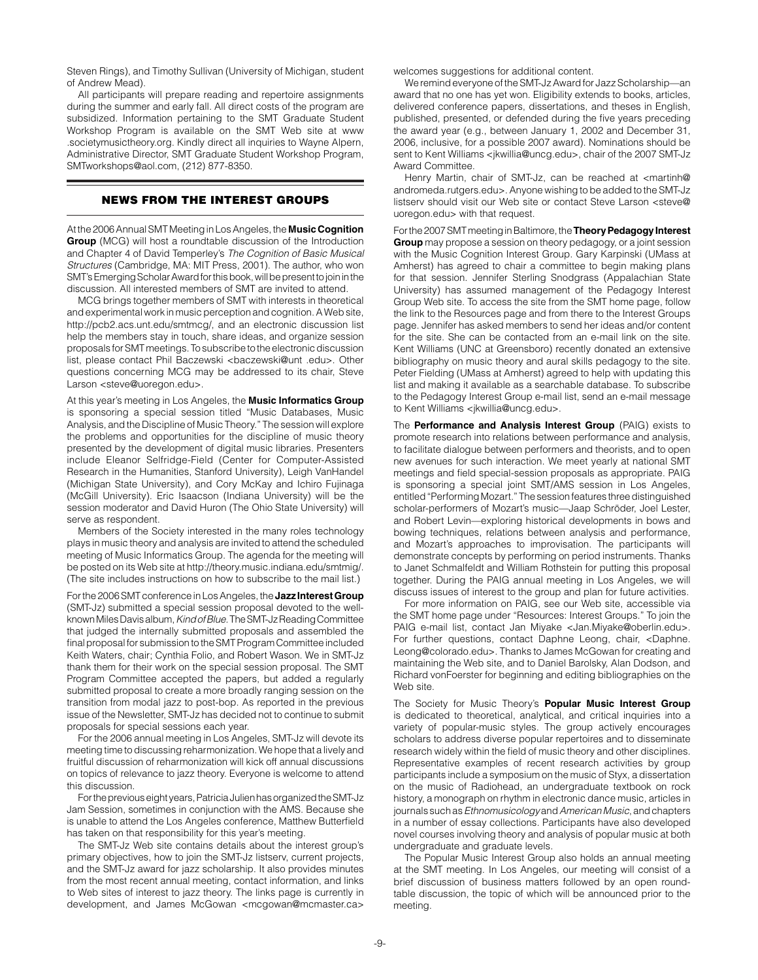Steven Rings), and Timothy Sullivan (University of Michigan, student of Andrew Mead).

All participants will prepare reading and repertoire assignments during the summer and early fall. All direct costs of the program are subsidized. Information pertaining to the SMT Graduate Student Workshop Program is available on the SMT Web site at www .societymusictheory.org. Kindly direct all inquiries to Wayne Alpern, Administrative Director, SMT Graduate Student Workshop Program, SMTworkshops@aol.com, (212) 877-8350.

# news from the Interest groups

At the 2006 Annual SMT Meeting in Los Angeles, the **Music Cognition Group** (MCG) will host a roundtable discussion of the Introduction and Chapter 4 of David Temperley's *The Cognition of Basic Musical Structures* (Cambridge, MA: MIT Press, 2001). The author, who won SMT's Emerging Scholar Award for this book, will be present to join in the discussion. All interested members of SMT are invited to attend.

MCG brings together members of SMT with interests in theoretical and experimental work in music perception and cognition. A Web site, http://pcb2.acs.unt.edu/smtmcg/, and an electronic discussion list help the members stay in touch, share ideas, and organize session proposals for SMT meetings. To subscribe to the electronic discussion list, please contact Phil Baczewski <baczewski@unt .edu>. Other questions concerning MCG may be addressed to its chair, Steve Larson <steve@uoregon.edu>.

At this year's meeting in Los Angeles, the **Music Informatics Group** is sponsoring a special session titled "Music Databases, Music Analysis, and the Discipline of Music Theory." The session will explore the problems and opportunities for the discipline of music theory presented by the development of digital music libraries. Presenters include Eleanor Selfridge-Field (Center for Computer-Assisted Research in the Humanities, Stanford University), Leigh VanHandel (Michigan State University), and Cory McKay and Ichiro Fujinaga (McGill University). Eric Isaacson (Indiana University) will be the session moderator and David Huron (The Ohio State University) will serve as respondent.

Members of the Society interested in the many roles technology plays in music theory and analysis are invited to attend the scheduled meeting of Music Informatics Group. The agenda for the meeting will be posted on its Web site at http://theory.music.indiana.edu/smtmig/. (The site includes instructions on how to subscribe to the mail list.)

For the 2006 SMT conference in Los Angeles, the **Jazz Interest Group** (SMT-Jz) submitted a special session proposal devoted to the wellknown Miles Davis album, *Kind of Blue.* The SMT-Jz Reading Committee that judged the internally submitted proposals and assembled the final proposal for submission to the SMT Program Committee included Keith Waters, chair; Cynthia Folio, and Robert Wason. We in SMT-Jz thank them for their work on the special session proposal. The SMT Program Committee accepted the papers, but added a regularly submitted proposal to create a more broadly ranging session on the transition from modal jazz to post-bop. As reported in the previous issue of the Newsletter, SMT-Jz has decided not to continue to submit proposals for special sessions each year.

For the 2006 annual meeting in Los Angeles, SMT-Jz will devote its meeting time to discussing reharmonization. We hope that a lively and fruitful discussion of reharmonization will kick off annual discussions on topics of relevance to jazz theory. Everyone is welcome to attend this discussion.

For the previous eight years, Patricia Julien has organized the SMT-Jz Jam Session, sometimes in conjunction with the AMS. Because she is unable to attend the Los Angeles conference, Matthew Butterfield has taken on that responsibility for this year's meeting.

The SMT-Jz Web site contains details about the interest group's primary objectives, how to join the SMT-Jz listserv, current projects, and the SMT-Jz award for jazz scholarship. It also provides minutes from the most recent annual meeting, contact information, and links to Web sites of interest to jazz theory. The links page is currently in development, and James McGowan <mcgowan@mcmaster.ca>

welcomes suggestions for additional content.

We remind everyone of the SMT-Jz Award for Jazz Scholarship—an award that no one has yet won. Eligibility extends to books, articles, delivered conference papers, dissertations, and theses in English, published, presented, or defended during the five years preceding the award year (e.g., between January 1, 2002 and December 31, 2006, inclusive, for a possible 2007 award). Nominations should be sent to Kent Williams <jkwillia@uncg.edu>, chair of the 2007 SMT-Jz Award Committee.

Henry Martin, chair of SMT-Jz, can be reached at <martinh@ andromeda.rutgers.edu>. Anyone wishing to be added to the SMT-Jz listserv should visit our Web site or contact Steve Larson <steve@ uoregon.edu> with that request.

For the 2007 SMT meeting in Baltimore, the **Theory Pedagogy Interest Group** may propose a session on theory pedagogy, or a joint session with the Music Cognition Interest Group. Gary Karpinski (UMass at Amherst) has agreed to chair a committee to begin making plans for that session. Jennifer Sterling Snodgrass (Appalachian State University) has assumed management of the Pedagogy Interest Group Web site. To access the site from the SMT home page, follow the link to the Resources page and from there to the Interest Groups page. Jennifer has asked members to send her ideas and/or content for the site. She can be contacted from an e-mail link on the site. Kent Williams (UNC at Greensboro) recently donated an extensive bibliography on music theory and aural skills pedagogy to the site. Peter Fielding (UMass at Amherst) agreed to help with updating this list and making it available as a searchable database. To subscribe to the Pedagogy Interest Group e-mail list, send an e-mail message to Kent Williams <jkwillia@uncg.edu>.

The **Performance and Analysis Interest Group** (PAIG) exists to promote research into relations between performance and analysis, to facilitate dialogue between performers and theorists, and to open new avenues for such interaction. We meet yearly at national SMT meetings and field special-session proposals as appropriate. PAIG is sponsoring a special joint SMT/AMS session in Los Angeles, entitled "Performing Mozart." The session features three distinguished scholar-performers of Mozart's music—Jaap Schröder, Joel Lester, and Robert Levin—exploring historical developments in bows and bowing techniques, relations between analysis and performance, and Mozart's approaches to improvisation. The participants will demonstrate concepts by performing on period instruments. Thanks to Janet Schmalfeldt and William Rothstein for putting this proposal together. During the PAIG annual meeting in Los Angeles, we will discuss issues of interest to the group and plan for future activities.

For more information on PAIG, see our Web site, accessible via the SMT home page under "Resources: Interest Groups." To join the PAIG e-mail list, contact Jan Miyake <Jan.Miyake@oberlin.edu>. For further questions, contact Daphne Leong, chair, <Daphne. Leong@colorado.edu>. Thanks to James McGowan for creating and maintaining the Web site, and to Daniel Barolsky, Alan Dodson, and Richard vonFoerster for beginning and editing bibliographies on the Web site.

The Society for Music Theory's **Popular Music Interest Group** is dedicated to theoretical, analytical, and critical inquiries into a variety of popular-music styles. The group actively encourages scholars to address diverse popular repertoires and to disseminate research widely within the field of music theory and other disciplines. Representative examples of recent research activities by group participants include a symposium on the music of Styx, a dissertation on the music of Radiohead, an undergraduate textbook on rock history, a monograph on rhythm in electronic dance music, articles in journals such as *Ethnomusicology* and *American Music*, and chapters in a number of essay collections. Participants have also developed novel courses involving theory and analysis of popular music at both undergraduate and graduate levels.

The Popular Music Interest Group also holds an annual meeting at the SMT meeting. In Los Angeles, our meeting will consist of a brief discussion of business matters followed by an open roundtable discussion, the topic of which will be announced prior to the meeting.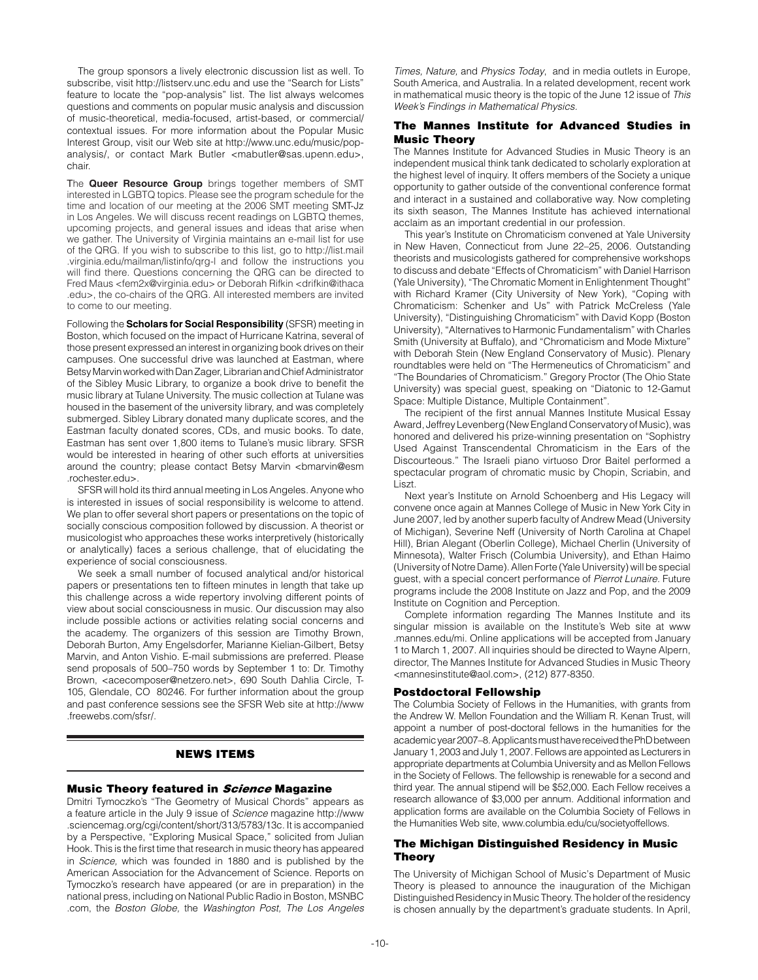The group sponsors a lively electronic discussion list as well. To subscribe, visit http://listserv.unc.edu and use the "Search for Lists" feature to locate the "pop-analysis" list. The list always welcomes questions and comments on popular music analysis and discussion of music-theoretical, media-focused, artist-based, or commercial/ contextual issues. For more information about the Popular Music Interest Group, visit our Web site at http://www.unc.edu/music/popanalysis/, or contact Mark Butler <mabutler@sas.upenn.edu>, chair.

The **Queer Resource Group** brings together members of SMT interested in LGBTQ topics. Please see the program schedule for the time and location of our meeting at the 2006 SMT meeting SMT-Jz in Los Angeles. We will discuss recent readings on LGBTQ themes, upcoming projects, and general issues and ideas that arise when we gather. The University of Virginia maintains an e-mail list for use of the QRG. If you wish to subscribe to this list, go to http://list.mail .virginia.edu/mailman/listinfo/qrg-l and follow the instructions you will find there. Questions concerning the QRG can be directed to Fred Maus <fem2x@virginia.edu> or Deborah Rifkin <drifkin@ithaca .edu>, the co-chairs of the QRG. All interested members are invited to come to our meeting.

Following the **Scholars for Social Responsibility** (SFSR) meeting in Boston, which focused on the impact of Hurricane Katrina, several of those present expressed an interest in organizing book drives on their campuses. One successful drive was launched at Eastman, where Betsy Marvin worked with Dan Zager, Librarian and Chief Administrator of the Sibley Music Library, to organize a book drive to benefit the music library at Tulane University. The music collection at Tulane was housed in the basement of the university library, and was completely submerged. Sibley Library donated many duplicate scores, and the Eastman faculty donated scores, CDs, and music books. To date, Eastman has sent over 1,800 items to Tulane's music library. SFSR would be interested in hearing of other such efforts at universities around the country; please contact Betsy Marvin <br/>bmarvin@esm .rochester.edu>.

SFSR will hold its third annual meeting in Los Angeles. Anyone who is interested in issues of social responsibility is welcome to attend. We plan to offer several short papers or presentations on the topic of socially conscious composition followed by discussion. A theorist or musicologist who approaches these works interpretively (historically or analytically) faces a serious challenge, that of elucidating the experience of social consciousness.

We seek a small number of focused analytical and/or historical papers or presentations ten to fifteen minutes in length that take up this challenge across a wide repertory involving different points of view about social consciousness in music. Our discussion may also include possible actions or activities relating social concerns and the academy. The organizers of this session are Timothy Brown, Deborah Burton, Amy Engelsdorfer, Marianne Kielian-Gilbert, Betsy Marvin, and Anton Vishio. E-mail submissions are preferred. Please send proposals of 500–750 words by September 1 to: Dr. Timothy Brown, <acecomposer@netzero.net>, 690 South Dahlia Circle, T-105, Glendale, CO 80246. For further information about the group and past conference sessions see the SFSR Web site at http://www .freewebs.com/sfsr/.

## news items

#### **Music Theory featured in Science Magazine**

Dmitri Tymoczko's "The Geometry of Musical Chords" appears as a feature article in the July 9 issue of *Science* magazine http://www .sciencemag.org/cgi/content/short/313/5783/13c. It is accompanied by a Perspective, "Exploring Musical Space," solicited from Julian Hook. This is the first time that research in music theory has appeared in *Science,* which was founded in 1880 and is published by the American Association for the Advancement of Science. Reports on Tymoczko's research have appeared (or are in preparation) in the national press, including on National Public Radio in Boston, MSNBC .com, the *Boston Globe,* the *Washington Post, The Los Angeles* 

*Times, Nature,* and *Physics Today*, and in media outlets in Europe, South America, and Australia. In a related development, recent work in mathematical music theory is the topic of the June 12 issue of *This Week's Findings in Mathematical Physics.* 

## The Mannes Institute for Advanced Studies in Music Theory

The Mannes Institute for Advanced Studies in Music Theory is an independent musical think tank dedicated to scholarly exploration at the highest level of inquiry. It offers members of the Society a unique opportunity to gather outside of the conventional conference format and interact in a sustained and collaborative way. Now completing its sixth season, The Mannes Institute has achieved international acclaim as an important credential in our profession.

This year's Institute on Chromaticism convened at Yale University in New Haven, Connecticut from June 22–25, 2006. Outstanding theorists and musicologists gathered for comprehensive workshops to discuss and debate "Effects of Chromaticism" with Daniel Harrison (Yale University), "The Chromatic Moment in Enlightenment Thought" with Richard Kramer (City University of New York), "Coping with Chromaticism: Schenker and Us" with Patrick McCreless (Yale University), "Distinguishing Chromaticism" with David Kopp (Boston University), "Alternatives to Harmonic Fundamentalism" with Charles Smith (University at Buffalo), and "Chromaticism and Mode Mixture" with Deborah Stein (New England Conservatory of Music). Plenary roundtables were held on "The Hermeneutics of Chromaticism" and "The Boundaries of Chromaticism." Gregory Proctor (The Ohio State University) was special guest, speaking on "Diatonic to 12-Gamut Space: Multiple Distance, Multiple Containment".

The recipient of the first annual Mannes Institute Musical Essay Award, Jeffrey Levenberg (New England Conservatory of Music), was honored and delivered his prize-winning presentation on "Sophistry Used Against Transcendental Chromaticism in the Ears of the Discourteous." The Israeli piano virtuoso Dror Baitel performed a spectacular program of chromatic music by Chopin, Scriabin, and Liszt.

Next year's Institute on Arnold Schoenberg and His Legacy will convene once again at Mannes College of Music in New York City in June 2007, led by another superb faculty of Andrew Mead (University of Michigan), Severine Neff (University of North Carolina at Chapel Hill), Brian Alegant (Oberlin College), Michael Cherlin (University of Minnesota), Walter Frisch (Columbia University), and Ethan Haimo (University of Notre Dame). Allen Forte (Yale University) will be special guest, with a special concert performance of *Pierrot Lunaire.* Future programs include the 2008 Institute on Jazz and Pop, and the 2009 Institute on Cognition and Perception.

Complete information regarding The Mannes Institute and its singular mission is available on the Institute's Web site at www .mannes.edu/mi. Online applications will be accepted from January 1 to March 1, 2007. All inquiries should be directed to Wayne Alpern, director, The Mannes Institute for Advanced Studies in Music Theory <mannesinstitute@aol.com>, (212) 877-8350.

## Postdoctoral Fellowship

The Columbia Society of Fellows in the Humanities, with grants from the Andrew W. Mellon Foundation and the William R. Kenan Trust, will appoint a number of post-doctoral fellows in the humanities for the academic year 2007–8. Applicants must have received the PhD between January 1, 2003 and July 1, 2007. Fellows are appointed as Lecturers in appropriate departments at Columbia University and as Mellon Fellows in the Society of Fellows. The fellowship is renewable for a second and third year. The annual stipend will be \$52,000. Each Fellow receives a research allowance of \$3,000 per annum. Additional information and application forms are available on the Columbia Society of Fellows in the Humanities Web site, www.columbia.edu/cu/societyoffellows.

# The Michigan Distinguished Residency in Music Theory

The University of Michigan School of Music's Department of Music Theory is pleased to announce the inauguration of the Michigan Distinguished Residency in Music Theory. The holder of the residency is chosen annually by the department's graduate students. In April,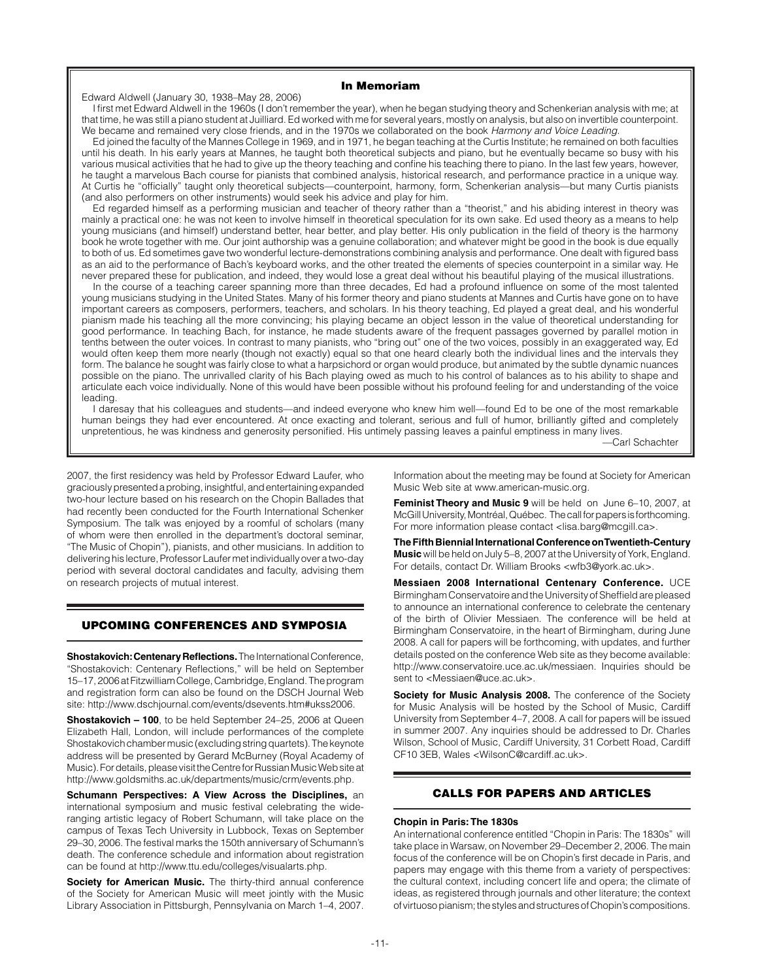## In Memoriam

## Edward Aldwell (January 30, 1938–May 28, 2006)

I first met Edward Aldwell in the 1960s (I don't remember the year), when he began studying theory and Schenkerian analysis with me; at that time, he was still a piano student at Juilliard. Ed worked with me for several years, mostly on analysis, but also on invertible counterpoint. We became and remained very close friends, and in the 1970s we collaborated on the book *Harmony and Voice Leading.*

Ed joined the faculty of the Mannes College in 1969, and in 1971, he began teaching at the Curtis Institute; he remained on both faculties until his death. In his early years at Mannes, he taught both theoretical subjects and piano, but he eventually became so busy with his various musical activities that he had to give up the theory teaching and confine his teaching there to piano. In the last few years, however, he taught a marvelous Bach course for pianists that combined analysis, historical research, and performance practice in a unique way. At Curtis he "officially" taught only theoretical subjects—counterpoint, harmony, form, Schenkerian analysis—but many Curtis pianists (and also performers on other instruments) would seek his advice and play for him.

Ed regarded himself as a performing musician and teacher of theory rather than a "theorist," and his abiding interest in theory was mainly a practical one: he was not keen to involve himself in theoretical speculation for its own sake. Ed used theory as a means to help young musicians (and himself) understand better, hear better, and play better. His only publication in the field of theory is the harmony book he wrote together with me. Our joint authorship was a genuine collaboration; and whatever might be good in the book is due equally to both of us. Ed sometimes gave two wonderful lecture-demonstrations combining analysis and performance. One dealt with figured bass as an aid to the performance of Bach's keyboard works, and the other treated the elements of species counterpoint in a similar way. He never prepared these for publication, and indeed, they would lose a great deal without his beautiful playing of the musical illustrations.

In the course of a teaching career spanning more than three decades, Ed had a profound influence on some of the most talented young musicians studying in the United States. Many of his former theory and piano students at Mannes and Curtis have gone on to have important careers as composers, performers, teachers, and scholars. In his theory teaching, Ed played a great deal, and his wonderful pianism made his teaching all the more convincing; his playing became an object lesson in the value of theoretical understanding for good performance. In teaching Bach, for instance, he made students aware of the frequent passages governed by parallel motion in tenths between the outer voices. In contrast to many pianists, who "bring out" one of the two voices, possibly in an exaggerated way, Ed would often keep them more nearly (though not exactly) equal so that one heard clearly both the individual lines and the intervals they form. The balance he sought was fairly close to what a harpsichord or organ would produce, but animated by the subtle dynamic nuances possible on the piano. The unrivalled clarity of his Bach playing owed as much to his control of balances as to his ability to shape and articulate each voice individually. None of this would have been possible without his profound feeling for and understanding of the voice leading.

I daresay that his colleagues and students—and indeed everyone who knew him well—found Ed to be one of the most remarkable human beings they had ever encountered. At once exacting and tolerant, serious and full of humor, brilliantly gifted and completely unpretentious, he was kindness and generosity personified. His untimely passing leaves a painful emptiness in many lives.

—Carl Schachter

2007, the first residency was held by Professor Edward Laufer, who graciously presented a probing, insightful, and entertaining expanded two-hour lecture based on his research on the Chopin Ballades that had recently been conducted for the Fourth International Schenker Symposium. The talk was enjoyed by a roomful of scholars (many of whom were then enrolled in the department's doctoral seminar, "The Music of Chopin"), pianists, and other musicians. In addition to delivering his lecture, Professor Laufer met individually over a two-day period with several doctoral candidates and faculty, advising them on research projects of mutual interest.

## UPCOMING CONFERENCES AND SYMPOSIA

**Shostakovich: Centenary Reflections.** The International Conference, "Shostakovich: Centenary Reflections," will be held on September 15–17, 2006 at Fitzwilliam College, Cambridge, England. The program and registration form can also be found on the DSCH Journal Web site: http://www.dschjournal.com/events/dsevents.htm#ukss2006.

**Shostakovich – 100**, to be held September 24–25, 2006 at Queen Elizabeth Hall, London, will include performances of the complete Shostakovich chamber music (excluding string quartets). The keynote address will be presented by Gerard McBurney (Royal Academy of Music). For details, please visit the Centre for Russian Music Web site at http://www.goldsmiths.ac.uk/departments/music/crm/events.php.

**Schumann Perspectives: A View Across the Disciplines,** an international symposium and music festival celebrating the wideranging artistic legacy of Robert Schumann, will take place on the campus of Texas Tech University in Lubbock, Texas on September 29–30, 2006. The festival marks the 150th anniversary of Schumann's death. The conference schedule and information about registration can be found at http://www.ttu.edu/colleges/visualarts.php.

**Society for American Music.** The thirty-third annual conference of the Society for American Music will meet jointly with the Music Library Association in Pittsburgh, Pennsylvania on March 1–4, 2007.

Information about the meeting may be found at Society for American Music Web site at www.american-music.org.

**Feminist Theory and Music 9** will be held on June 6–10, 2007, at McGill University, Montréal, Québec. The call for papers is forthcoming. For more information please contact <lisa.barg@mcgill.ca>.

**The Fifth Biennial International Conference on Twentieth-Century Music** will be held on July 5–8, 2007 at the University of York, England. For details, contact Dr. William Brooks <wfb3@york.ac.uk>.

**Messiaen 2008 International Centenary Conference.** UCE Birmingham Conservatoire and the University of Sheffield are pleased to announce an international conference to celebrate the centenary of the birth of Olivier Messiaen. The conference will be held at Birmingham Conservatoire, in the heart of Birmingham, during June 2008. A call for papers will be forthcoming, with updates, and further details posted on the conference Web site as they become available: http://www.conservatoire.uce.ac.uk/messiaen. Inquiries should be sent to <Messiaen@uce.ac.uk>.

**Society for Music Analysis 2008.** The conference of the Society for Music Analysis will be hosted by the School of Music, Cardiff University from September 4–7, 2008. A call for papers will be issued in summer 2007. Any inquiries should be addressed to Dr. Charles Wilson, School of Music, Cardiff University, 31 Corbett Road, Cardiff CF10 3EB, Wales <WilsonC@cardiff.ac.uk>.

## Calls for Papers and Articles

#### **Chopin in Paris: The 1830s**

An international conference entitled "Chopin in Paris: The 1830s" will take place in Warsaw, on November 29–December 2, 2006. The main focus of the conference will be on Chopin's first decade in Paris, and papers may engage with this theme from a variety of perspectives: the cultural context, including concert life and opera; the climate of ideas, as registered through journals and other literature; the context of virtuoso pianism; the styles and structures of Chopin's compositions.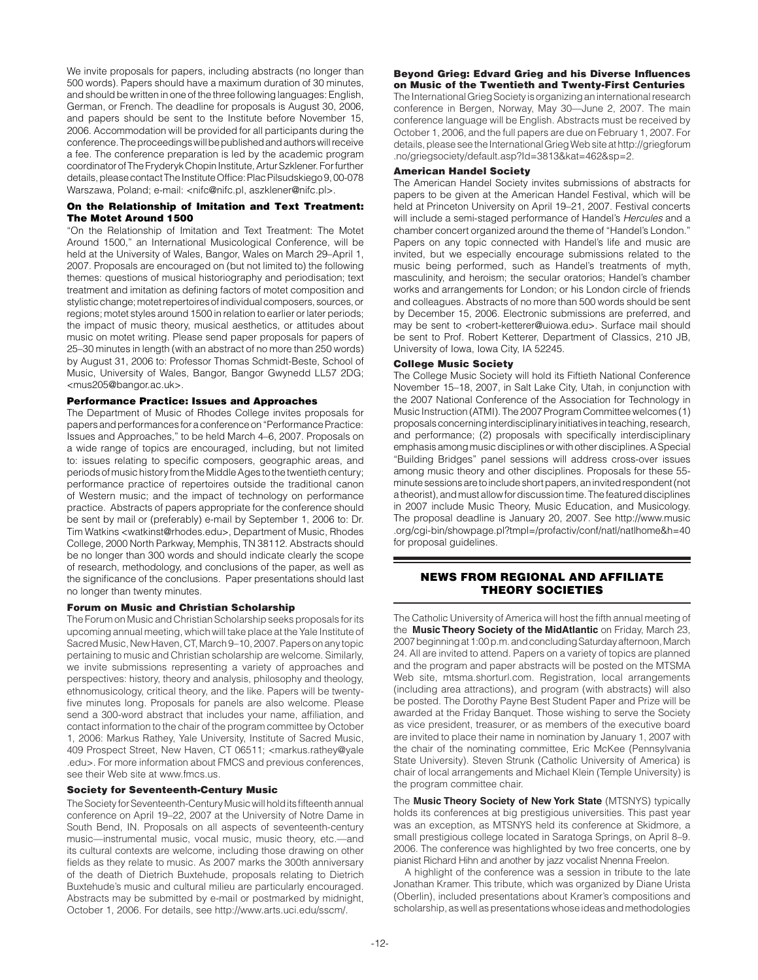We invite proposals for papers, including abstracts (no longer than 500 words). Papers should have a maximum duration of 30 minutes, and should be written in one of the three following languages: English, German, or French. The deadline for proposals is August 30, 2006, and papers should be sent to the Institute before November 15, 2006. Accommodation will be provided for all participants during the conference. The proceedings will be published and authors will receive a fee. The conference preparation is led by the academic program coordinator of The Fryderyk Chopin Institute, Artur Szklener. For further details, please contact The Institute Office: Plac Pilsudskiego 9, 00-078 Warszawa, Poland; e-mail: <nifc@nifc.pl, aszklener@nifc.pl>.

## On the Relationship of Imitation and Text Treatment: The Motet Around 1500

"On the Relationship of Imitation and Text Treatment: The Motet Around 1500," an International Musicological Conference, will be held at the University of Wales, Bangor, Wales on March 29–April 1, 2007. Proposals are encouraged on (but not limited to) the following themes: questions of musical historiography and periodisation; text treatment and imitation as defining factors of motet composition and stylistic change; motet repertoires of individual composers, sources, or regions; motet styles around 1500 in relation to earlier or later periods; the impact of music theory, musical aesthetics, or attitudes about music on motet writing. Please send paper proposals for papers of 25–30 minutes in length (with an abstract of no more than 250 words) by August 31, 2006 to: Professor Thomas Schmidt-Beste, School of Music, University of Wales, Bangor, Bangor Gwynedd LL57 2DG; <mus205@bangor.ac.uk>.

# Performance Practice: Issues and Approaches

The Department of Music of Rhodes College invites proposals for papers and performances for a conference on "Performance Practice: Issues and Approaches," to be held March 4–6, 2007. Proposals on a wide range of topics are encouraged, including, but not limited to: issues relating to specific composers, geographic areas, and periods of music history from the Middle Ages to the twentieth century; performance practice of repertoires outside the traditional canon of Western music; and the impact of technology on performance practice. Abstracts of papers appropriate for the conference should be sent by mail or (preferably) e-mail by September 1, 2006 to: Dr. Tim Watkins <watkinst@rhodes.edu>, Department of Music, Rhodes College, 2000 North Parkway, Memphis, TN 38112. Abstracts should be no longer than 300 words and should indicate clearly the scope of research, methodology, and conclusions of the paper, as well as the significance of the conclusions. Paper presentations should last no longer than twenty minutes.

## Forum on Music and Christian Scholarship

The Forum on Music and Christian Scholarship seeks proposals for its upcoming annual meeting, which will take place at the Yale Institute of Sacred Music, New Haven, CT, March 9–10, 2007. Papers on any topic pertaining to music and Christian scholarship are welcome. Similarly, we invite submissions representing a variety of approaches and perspectives: history, theory and analysis, philosophy and theology, ethnomusicology, critical theory, and the like. Papers will be twentyfive minutes long. Proposals for panels are also welcome. Please send a 300-word abstract that includes your name, affiliation, and contact information to the chair of the program committee by October 1, 2006: Markus Rathey, Yale University, Institute of Sacred Music, 409 Prospect Street, New Haven, CT 06511; <markus.rathey@yale .edu>. For more information about FMCS and previous conferences, see their Web site at www.fmcs.us.

## Society for Seventeenth-Century Music

The Society for Seventeenth-Century Music will hold its fifteenth annual conference on April 19–22, 2007 at the University of Notre Dame in South Bend, IN. Proposals on all aspects of seventeenth-century music—instrumental music, vocal music, music theory, etc.—and its cultural contexts are welcome, including those drawing on other fields as they relate to music. As 2007 marks the 300th anniversary of the death of Dietrich Buxtehude, proposals relating to Dietrich Buxtehude's music and cultural milieu are particularly encouraged. Abstracts may be submitted by e-mail or postmarked by midnight, October 1, 2006. For details, see http://www.arts.uci.edu/sscm/.

## Beyond Grieg: Edvard Grieg and his Diverse Influences on Music of the Twentieth and Twenty-First Centuries

The International Grieg Society is organizing an international research conference in Bergen, Norway, May 30—June 2, 2007. The main conference language will be English. Abstracts must be received by October 1, 2006, and the full papers are due on February 1, 2007. For details, please see the International Grieg Web site at http://griegforum .no/griegsociety/default.asp?Id=3813&kat=462&sp=2.

## American Handel Society

The American Handel Society invites submissions of abstracts for papers to be given at the American Handel Festival, which will be held at Princeton University on April 19–21, 2007. Festival concerts will include a semi-staged performance of Handel's *Hercules* and a chamber concert organized around the theme of "Handel's London." Papers on any topic connected with Handel's life and music are invited, but we especially encourage submissions related to the music being performed, such as Handel's treatments of myth, masculinity, and heroism; the secular oratorios; Handel's chamber works and arrangements for London; or his London circle of friends and colleagues. Abstracts of no more than 500 words should be sent by December 15, 2006. Electronic submissions are preferred, and may be sent to <robert-ketterer@uiowa.edu>. Surface mail should be sent to Prof. Robert Ketterer, Department of Classics, 210 JB, University of Iowa, Iowa City, IA 52245.

#### College Music Society

The College Music Society will hold its Fiftieth National Conference November 15–18, 2007, in Salt Lake City, Utah, in conjunction with the 2007 National Conference of the Association for Technology in Music Instruction (ATMI). The 2007 Program Committee welcomes (1) proposals concerning interdisciplinary initiatives in teaching, research, and performance; (2) proposals with specifically interdisciplinary emphasis among music disciplines or with other disciplines. A Special "Building Bridges" panel sessions will address cross-over issues among music theory and other disciplines. Proposals for these 55 minute sessions are to include short papers, an invited respondent (not a theorist), and must allow for discussion time. The featured disciplines in 2007 include Music Theory, Music Education, and Musicology. The proposal deadline is January 20, 2007. See http://www.music .org/cgi-bin/showpage.pl?tmpl=/profactiv/conf/natl/natlhome&h=40 for proposal guidelines.

# news from regional and Affiliate theory societies

The Catholic University of America will host the fifth annual meeting of the **Music Theory Society of the MidAtlantic** on Friday, March 23, 2007 beginning at 1:00 p.m. and concluding Saturday afternoon, March 24. All are invited to attend. Papers on a variety of topics are planned and the program and paper abstracts will be posted on the MTSMA Web site, mtsma.shorturl.com. Registration, local arrangements (including area attractions), and program (with abstracts) will also be posted. The Dorothy Payne Best Student Paper and Prize will be awarded at the Friday Banquet. Those wishing to serve the Society as vice president, treasurer, or as members of the executive board are invited to place their name in nomination by January 1, 2007 with the chair of the nominating committee, Eric McKee (Pennsylvania State University). Steven Strunk (Catholic University of America) is chair of local arrangements and Michael Klein (Temple University) is the program committee chair.

The **Music Theory Society of New York State** (MTSNYS) typically holds its conferences at big prestigious universities. This past year was an exception, as MTSNYS held its conference at Skidmore, a small prestigious college located in Saratoga Springs, on April 8–9. 2006. The conference was highlighted by two free concerts, one by pianist Richard Hihn and another by jazz vocalist Nnenna Freelon.

A highlight of the conference was a session in tribute to the late Jonathan Kramer. This tribute, which was organized by Diane Urista (Oberlin), included presentations about Kramer's compositions and scholarship, as well as presentations whose ideas and methodologies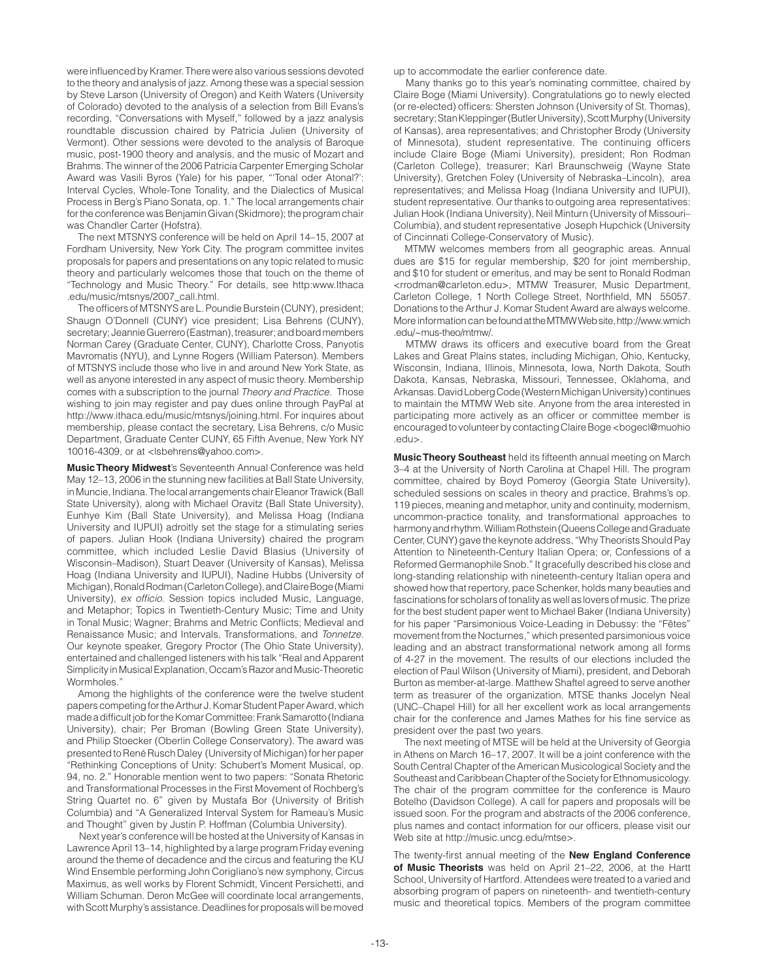were influenced by Kramer. There were also various sessions devoted to the theory and analysis of jazz. Among these was a special session by Steve Larson (University of Oregon) and Keith Waters (University of Colorado) devoted to the analysis of a selection from Bill Evans's recording, "Conversations with Myself," followed by a jazz analysis roundtable discussion chaired by Patricia Julien (University of Vermont). Other sessions were devoted to the analysis of Baroque music, post-1900 theory and analysis, and the music of Mozart and Brahms. The winner of the 2006 Patricia Carpenter Emerging Scholar Award was Vasili Byros (Yale) for his paper, "'Tonal oder Atonal?': Interval Cycles, Whole-Tone Tonality, and the Dialectics of Musical Process in Berg's Piano Sonata, op. 1." The local arrangements chair for the conference was Benjamin Givan (Skidmore); the program chair was Chandler Carter (Hofstra).

The next MTSNYS conference will be held on April 14–15, 2007 at Fordham University, New York City. The program committee invites proposals for papers and presentations on any topic related to music theory and particularly welcomes those that touch on the theme of "Technology and Music Theory." For details, see http:www.Ithaca .edu/music/mtsnys/2007\_call.html.

The officers of MTSNYS are L. Poundie Burstein (CUNY), president; Shaugn O'Donnell (CUNY) vice president; Lisa Behrens (CUNY), secretary; Jeannie Guerrero (Eastman), treasurer; and board members Norman Carey (Graduate Center, CUNY), Charlotte Cross, Panyotis Mavromatis (NYU), and Lynne Rogers (William Paterson). Members of MTSNYS include those who live in and around New York State, as well as anyone interested in any aspect of music theory. Membership comes with a subscription to the journal *Theory and Practice.* Those wishing to join may register and pay dues online through PayPal at http://www.ithaca.edu/music/mtsnys/joining.html. For inquires about membership, please contact the secretary, Lisa Behrens, c/o Music Department, Graduate Center CUNY, 65 Fifth Avenue, New York NY 10016-4309, or at <lsbehrens@yahoo.com>.

**Music Theory Midwest**'s Seventeenth Annual Conference was held May 12–13, 2006 in the stunning new facilities at Ball State University, in Muncie, Indiana. The local arrangements chair Eleanor Trawick (Ball State University), along with Michael Oravitz (Ball State University), Eunhye Kim (Ball State University), and Melissa Hoag (Indiana University and IUPUI) adroitly set the stage for a stimulating series of papers. Julian Hook (Indiana University) chaired the program committee, which included Leslie David Blasius (University of Wisconsin–Madison), Stuart Deaver (University of Kansas), Melissa Hoag (Indiana University and IUPUI), Nadine Hubbs (University of Michigan), Ronald Rodman (Carleton College), and Claire Boge (Miami University), *ex officio.* Session topics included Music, Language, and Metaphor; Topics in Twentieth-Century Music; Time and Unity in Tonal Music; Wagner; Brahms and Metric Conflicts; Medieval and Renaissance Music; and Intervals, Transformations, and *Tonnetze.* Our keynote speaker, Gregory Proctor (The Ohio State University), entertained and challenged listeners with his talk "Real and Apparent Simplicity in Musical Explanation, Occam's Razor and Music-Theoretic Wormholes."

Among the highlights of the conference were the twelve student papers competing for the Arthur J. Komar Student Paper Award, which made a difficult job for the Komar Committee: Frank Samarotto (Indiana University), chair; Per Broman (Bowling Green State University), and Philip Stoecker (Oberlin College Conservatory). The award was presented to René Rusch Daley (University of Michigan) for her paper "Rethinking Conceptions of Unity: Schubert's Moment Musical, op. 94, no. 2." Honorable mention went to two papers: "Sonata Rhetoric and Transformational Processes in the First Movement of Rochberg's String Quartet no. 6" given by Mustafa Bor (University of British Columbia) and "A Generalized Interval System for Rameau's Music and Thought" given by Justin P. Hoffman (Columbia University).

Next year's conference will be hosted at the University of Kansas in Lawrence April 13–14, highlighted by a large program Friday evening around the theme of decadence and the circus and featuring the KU Wind Ensemble performing John Corigliano's new symphony, Circus Maximus, as well works by Florent Schmidt, Vincent Persichetti, and William Schuman. Deron McGee will coordinate local arrangements, with Scott Murphy's assistance. Deadlines for proposals will be moved

up to accommodate the earlier conference date.

Many thanks go to this year's nominating committee, chaired by Claire Boge (Miami University). Congratulations go to newly elected (or re-elected) officers: Shersten Johnson (University of St. Thomas), secretary; Stan Kleppinger (Butler University), Scott Murphy (University of Kansas), area representatives; and Christopher Brody (University of Minnesota), student representative. The continuing officers include Claire Boge (Miami University), president; Ron Rodman (Carleton College), treasurer; Karl Braunschweig (Wayne State University), Gretchen Foley (University of Nebraska–Lincoln), area representatives; and Melissa Hoag (Indiana University and IUPUI), student representative. Our thanks to outgoing area representatives: Julian Hook (Indiana University), Neil Minturn (University of Missouri– Columbia), and student representative Joseph Hupchick (University of Cincinnati College-Conservatory of Music).

MTMW welcomes members from all geographic areas. Annual dues are \$15 for regular membership, \$20 for joint membership, and \$10 for student or emeritus, and may be sent to Ronald Rodman <rrodman@carleton.edu>, MTMW Treasurer, Music Department, Carleton College, 1 North College Street, Northfield, MN 55057. Donations to the Arthur J. Komar Student Award are always welcome. More information can be found at the MTMW Web site, http://www.wmich .edu/~mus-theo/mtmw/.

MTMW draws its officers and executive board from the Great Lakes and Great Plains states, including Michigan, Ohio, Kentucky, Wisconsin, Indiana, Illinois, Minnesota, Iowa, North Dakota, South Dakota, Kansas, Nebraska, Missouri, Tennessee, Oklahoma, and Arkansas. David Loberg Code (Western Michigan University) continues to maintain the MTMW Web site. Anyone from the area interested in participating more actively as an officer or committee member is encouraged to volunteer by contacting Claire Boge <bogecl@muohio .edu>.

**Music Theory Southeast** held its fifteenth annual meeting on March 3–4 at the University of North Carolina at Chapel Hill. The program committee, chaired by Boyd Pomeroy (Georgia State University), scheduled sessions on scales in theory and practice, Brahms's op. 119 pieces, meaning and metaphor, unity and continuity, modernism, uncommon-practice tonality, and transformational approaches to harmony and rhythm. William Rothstein (Queens College and Graduate Center, CUNY) gave the keynote address, "Why Theorists Should Pay Attention to Nineteenth-Century Italian Opera; or, Confessions of a Reformed Germanophile Snob." It gracefully described his close and long-standing relationship with nineteenth-century Italian opera and showed how that repertory, pace Schenker, holds many beauties and fascinations for scholars of tonality as well as lovers of music. The prize for the best student paper went to Michael Baker (Indiana University) for his paper "Parsimonious Voice-Leading in Debussy: the "Fêtes" movement from the Nocturnes," which presented parsimonious voice leading and an abstract transformational network among all forms of 4-27 in the movement. The results of our elections included the election of Paul Wilson (University of Miami), president, and Deborah Burton as member-at-large. Matthew Shaftel agreed to serve another term as treasurer of the organization. MTSE thanks Jocelyn Neal (UNC–Chapel Hill) for all her excellent work as local arrangements chair for the conference and James Mathes for his fine service as president over the past two years.

The next meeting of MTSE will be held at the University of Georgia in Athens on March 16–17, 2007. It will be a joint conference with the South Central Chapter of the American Musicological Society and the Southeast and Caribbean Chapter of the Society for Ethnomusicology. The chair of the program committee for the conference is Mauro Botelho (Davidson College). A call for papers and proposals will be issued soon. For the program and abstracts of the 2006 conference, plus names and contact information for our officers, please visit our Web site at http://music.uncg.edu/mtse>.

The twenty-first annual meeting of the **New England Conference of Music Theorists** was held on April 21–22, 2006, at the Hartt School, University of Hartford. Attendees were treated to a varied and absorbing program of papers on nineteenth- and twentieth-century music and theoretical topics. Members of the program committee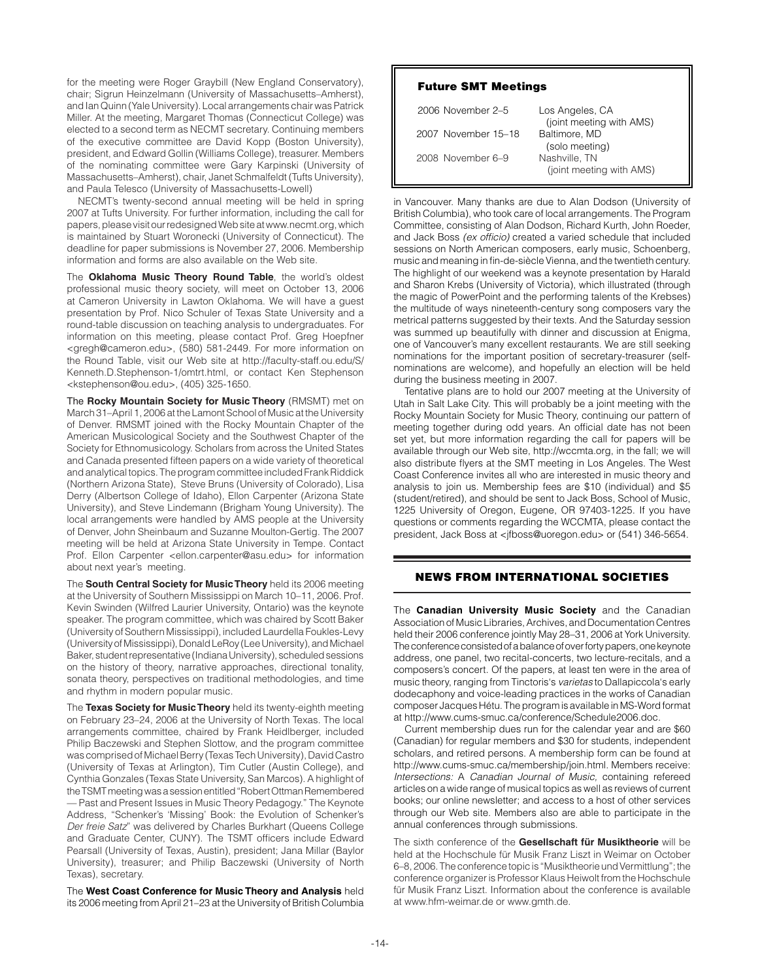for the meeting were Roger Graybill (New England Conservatory), chair; Sigrun Heinzelmann (University of Massachusetts–Amherst), and Ian Quinn (Yale University). Local arrangements chair was Patrick Miller. At the meeting, Margaret Thomas (Connecticut College) was elected to a second term as NECMT secretary. Continuing members of the executive committee are David Kopp (Boston University), president, and Edward Gollin (Williams College), treasurer. Members of the nominating committee were Gary Karpinski (University of Massachusetts–Amherst), chair, Janet Schmalfeldt (Tufts University), and Paula Telesco (University of Massachusetts-Lowell)

NECMT's twenty-second annual meeting will be held in spring 2007 at Tufts University. For further information, including the call for papers, please visit our redesigned Web site at www.necmt.org, which is maintained by Stuart Woronecki (University of Connecticut). The deadline for paper submissions is November 27, 2006. Membership information and forms are also available on the Web site.

The **Oklahoma Music Theory Round Table**, the world's oldest professional music theory society, will meet on October 13, 2006 at Cameron University in Lawton Oklahoma. We will have a guest presentation by Prof. Nico Schuler of Texas State University and a round-table discussion on teaching analysis to undergraduates. For information on this meeting, please contact Prof. Greg Hoepfner <gregh@cameron.edu>, (580) 581-2449. For more information on the Round Table, visit our Web site at http://faculty-staff.ou.edu/S/ Kenneth.D.Stephenson-1/omtrt.html, or contact Ken Stephenson <kstephenson@ou.edu>, (405) 325-1650.

The **Rocky Mountain Society for Music Theory** (RMSMT) met on March 31–April 1, 2006 at the Lamont School of Music at the University of Denver. RMSMT joined with the Rocky Mountain Chapter of the American Musicological Society and the Southwest Chapter of the Society for Ethnomusicology. Scholars from across the United States and Canada presented fifteen papers on a wide variety of theoretical and analytical topics. The program committee included Frank Riddick (Northern Arizona State), Steve Bruns (University of Colorado), Lisa Derry (Albertson College of Idaho), Ellon Carpenter (Arizona State University), and Steve Lindemann (Brigham Young University). The local arrangements were handled by AMS people at the University of Denver, John Sheinbaum and Suzanne Moulton-Gertig. The 2007 meeting will be held at Arizona State University in Tempe. Contact Prof. Ellon Carpenter <ellon.carpenter@asu.edu> for information about next year's meeting.

The **South Central Society for Music Theory** held its 2006 meeting at the University of Southern Mississippi on March 10–11, 2006. Prof. Kevin Swinden (Wilfred Laurier University, Ontario) was the keynote speaker. The program committee, which was chaired by Scott Baker (University of Southern Mississippi), included Laurdella Foukles-Levy (University of Mississippi), Donald LeRoy (Lee University), and Michael Baker, student representative (Indiana University), scheduled sessions on the history of theory, narrative approaches, directional tonality, sonata theory, perspectives on traditional methodologies, and time and rhythm in modern popular music.

The **Texas Society for Music Theory** held its twenty-eighth meeting on February 23–24, 2006 at the University of North Texas. The local arrangements committee, chaired by Frank Heidlberger, included Philip Baczewski and Stephen Slottow, and the program committee was comprised of Michael Berry (Texas Tech University), David Castro (University of Texas at Arlington), Tim Cutler (Austin College), and Cynthia Gonzales (Texas State University, San Marcos). A highlight of the TSMT meeting was a session entitled "Robert Ottman Remembered — Past and Present Issues in Music Theory Pedagogy." The Keynote Address, "Schenker's 'Missing' Book: the Evolution of Schenker's *Der freie Satz*" was delivered by Charles Burkhart (Queens College and Graduate Center, CUNY). The TSMT officers include Edward Pearsall (University of Texas, Austin), president; Jana Millar (Baylor University), treasurer; and Philip Baczewski (University of North Texas), secretary.

The **West Coast Conference for Music Theory and Analysis** held its 2006 meeting from April 21–23 at the University of British Columbia

## Future SMT Meetings

| 2006 November 2–5   | Los Angeles, CA<br>(joint meeting with AMS) |
|---------------------|---------------------------------------------|
| 2007 November 15-18 | Baltimore, MD<br>(solo meeting)             |
| 2008 November 6-9   | Nashville, TN<br>(joint meeting with AMS)   |

in Vancouver. Many thanks are due to Alan Dodson (University of British Columbia), who took care of local arrangements. The Program Committee, consisting of Alan Dodson, Richard Kurth, John Roeder, and Jack Boss *(ex officio)* created a varied schedule that included sessions on North American composers, early music, Schoenberg, music and meaning in fin-de-siècle Vienna, and the twentieth century. The highlight of our weekend was a keynote presentation by Harald and Sharon Krebs (University of Victoria), which illustrated (through the magic of PowerPoint and the performing talents of the Krebses) the multitude of ways nineteenth-century song composers vary the metrical patterns suggested by their texts. And the Saturday session was summed up beautifully with dinner and discussion at Enigma, one of Vancouver's many excellent restaurants. We are still seeking nominations for the important position of secretary-treasurer (selfnominations are welcome), and hopefully an election will be held during the business meeting in 2007.

Tentative plans are to hold our 2007 meeting at the University of Utah in Salt Lake City. This will probably be a joint meeting with the Rocky Mountain Society for Music Theory, continuing our pattern of meeting together during odd years. An official date has not been set yet, but more information regarding the call for papers will be available through our Web site, http://wccmta.org, in the fall; we will also distribute flyers at the SMT meeting in Los Angeles. The West Coast Conference invites all who are interested in music theory and analysis to join us. Membership fees are \$10 (individual) and \$5 (student/retired), and should be sent to Jack Boss, School of Music, 1225 University of Oregon, Eugene, OR 97403-1225. If you have questions or comments regarding the WCCMTA, please contact the president, Jack Boss at <jfboss@uoregon.edu> or (541) 346-5654.

# news from international societies

The **Canadian University Music Society** and the Canadian Association of Music Libraries, Archives, and Documentation Centres held their 2006 conference jointly May 28–31, 2006 at York University. The conference consisted of a balance of over forty papers, one keynote address, one panel, two recital-concerts, two lecture-recitals, and a composers's concert. Of the papers, at least ten were in the area of music theory, ranging from Tinctoris's *varietas* to Dallapiccola's early dodecaphony and voice-leading practices in the works of Canadian composer Jacques Hétu. The program is available in MS-Word format at http://www.cums-smuc.ca/conference/Schedule2006.doc.

Current membership dues run for the calendar year and are \$60 (Canadian) for regular members and \$30 for students, independent scholars, and retired persons. A membership form can be found at http://www.cums-smuc.ca/membership/join.html. Members receive: *Intersections:* A *Canadian Journal of Music,* containing refereed articles on a wide range of musical topics as well as reviews of current books; our online newsletter; and access to a host of other services through our Web site. Members also are able to participate in the annual conferences through submissions.

The sixth conference of the **Gesellschaft für Musiktheorie** will be held at the Hochschule für Musik Franz Liszt in Weimar on October 6–8, 2006. The conference topic is "Musiktheorie und Vermittlung"; the conference organizer is Professor Klaus Heiwolt from the Hochschule für Musik Franz Liszt. Information about the conference is available at www.hfm-weimar.de or www.gmth.de.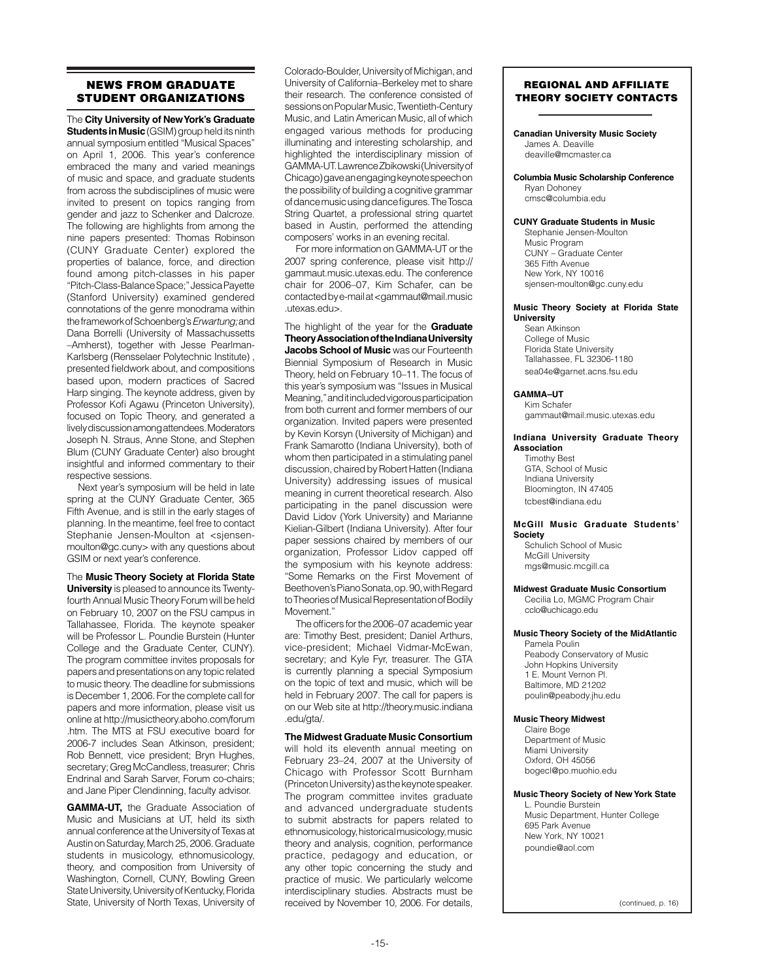# news from graduate student organizations

The **City University of New York's Graduate Students in Music** (GSIM) group held its ninth annual symposium entitled "Musical Spaces" on April 1, 2006. This year's conference embraced the many and varied meanings of music and space, and graduate students from across the subdisciplines of music were invited to present on topics ranging from gender and jazz to Schenker and Dalcroze. The following are highlights from among the nine papers presented: Thomas Robinson (CUNY Graduate Center) explored the properties of balance, force, and direction found among pitch-classes in his paper "Pitch-Class-Balance Space;" Jessica Payette (Stanford University) examined gendered connotations of the genre monodrama within the framework of Schoenberg's *Erwartung;* and Dana Borrelli (University of Massachussetts –Amherst), together with Jesse Pearlman-Karlsberg (Rensselaer Polytechnic Institute) , presented fieldwork about, and compositions based upon, modern practices of Sacred Harp singing. The keynote address, given by Professor Kofi Agawu (Princeton University), focused on Topic Theory, and generated a lively discussion among attendees. Moderators Joseph N. Straus, Anne Stone, and Stephen Blum (CUNY Graduate Center) also brought insightful and informed commentary to their respective sessions.

Next year's symposium will be held in late spring at the CUNY Graduate Center, 365 Fifth Avenue, and is still in the early stages of planning. In the meantime, feel free to contact Stephanie Jensen-Moulton at <sjensenmoulton@gc.cuny> with any questions about GSIM or next year's conference.

The **Music Theory Society at Florida State University** is pleased to announce its Twentyfourth Annual Music Theory Forum will be held on February 10, 2007 on the FSU campus in Tallahassee, Florida. The keynote speaker will be Professor L. Poundie Burstein (Hunter College and the Graduate Center, CUNY). The program committee invites proposals for papers and presentations on any topic related to music theory. The deadline for submissions is December 1, 2006. For the complete call for papers and more information, please visit us online at http://musictheory.aboho.com/forum .htm. The MTS at FSU executive board for 2006-7 includes Sean Atkinson, president; Rob Bennett, vice president; Bryn Hughes, secretary; Greg McCandless, treasurer; Chris Endrinal and Sarah Sarver, Forum co-chairs; and Jane Piper Clendinning, faculty advisor.

**GAMMA-UT,** the Graduate Association of Music and Musicians at UT, held its sixth annual conference at the University of Texas at Austin on Saturday, March 25, 2006. Graduate students in musicology, ethnomusicology, theory, and composition from University of Washington, Cornell, CUNY, Bowling Green State University, University of Kentucky, Florida State, University of North Texas, University of

Colorado-Boulder, University of Michigan, and University of California–Berkeley met to share their research. The conference consisted of sessions on Popular Music, Twentieth-Century Music, and Latin American Music, all of which engaged various methods for producing illuminating and interesting scholarship, and highlighted the interdisciplinary mission of GAMMA-UT. Lawrence Zbikowski (University of Chicago) gave an engaging keynote speech on the possibility of building a cognitive grammar of dance music using dance figures. The Tosca String Quartet, a professional string quartet based in Austin, performed the attending composers' works in an evening recital.

For more information on GAMMA-UT or the 2007 spring conference, please visit http:// gammaut.music.utexas.edu. The conference chair for 2006–07, Kim Schafer, can be contacted by e-mail at <gammaut@mail.music .utexas.edu>.

The highlight of the year for the **Graduate Theory Association of the Indiana University Jacobs School of Music** was our Fourteenth Biennial Symposium of Research in Music Theory, held on February 10–11. The focus of this year's symposium was "Issues in Musical Meaning," and it included vigorous participation from both current and former members of our organization. Invited papers were presented by Kevin Korsyn (University of Michigan) and Frank Samarotto (Indiana University), both of whom then participated in a stimulating panel discussion, chaired by Robert Hatten (Indiana University) addressing issues of musical meaning in current theoretical research. Also participating in the panel discussion were David Lidov (York University) and Marianne Kielian-Gilbert (Indiana University). After four paper sessions chaired by members of our organization, Professor Lidov capped off the symposium with his keynote address: "Some Remarks on the First Movement of Beethoven's Piano Sonata, op. 90, with Regard to Theories of Musical Representation of Bodily Movement."

The officers for the 2006–07 academic year are: Timothy Best, president; Daniel Arthurs, vice-president; Michael Vidmar-McEwan, secretary; and Kyle Fyr, treasurer. The GTA is currently planning a special Symposium on the topic of text and music, which will be held in February 2007. The call for papers is on our Web site at http://theory.music.indiana .edu/gta/.

## **The Midwest Graduate Music Consortium**

will hold its eleventh annual meeting on February 23–24, 2007 at the University of Chicago with Professor Scott Burnham (Princeton University) as the keynote speaker. The program committee invites graduate and advanced undergraduate students to submit abstracts for papers related to ethnomusicology, historical musicology, music theory and analysis, cognition, performance practice, pedagogy and education, or any other topic concerning the study and practice of music. We particularly welcome interdisciplinary studies. Abstracts must be received by November 10, 2006. For details,

## REGIONAL AND AFFILIATE THEORY SOCIETY CONTACTS

#### **Canadian University Music Society** James A. Deaville

deaville@mcmaster.ca

#### **Columbia Music Scholarship Conference** Ryan Dohoney cmsc@columbia.edu

#### **CUNY Graduate Students in Music**

Stephanie Jensen-Moulton Music Program CUNY – Graduate Center 365 Fifth Avenue New York, NY 10016 sjensen-moulton@gc.cuny.edu

#### **Music Theory Society at Florida State University**

Sean Atkinson College of Music Florida State University Tallahassee, FL 32306-1180 sea04e@garnet.acns.fsu.edu

## **GAMMA–UT**

Kim Schafer gammaut@mail.music.utexas.edu

#### **Indiana University Graduate Theory Association**

Timothy Best GTA, School of Music Indiana University Bloomington, IN 47405 tcbest@indiana.edu

## **McGill Music Graduate Students' Society**

Schulich School of Music McGill University mgs@music.mcgill.ca

#### **Midwest Graduate Music Consortium**

Cecilia Lo, MGMC Program Chair cclo@uchicago.edu

## **Music Theory Society of the MidAtlantic**

Pamela Poulin Peabody Conservatory of Music John Hopkins University 1 E. Mount Vernon Pl. Baltimore, MD 21202 poulin@peabody.jhu.edu

#### **Music Theory Midwest**

Claire Boge Department of Music Miami University Oxford, OH 45056 bogecl@po.muohio.edu

#### **Music Theory Society of New York State**

L. Poundie Burstein Music Department, Hunter College 695 Park Avenue New York, NY 10021 poundie@aol.com

(continued, p. 16)